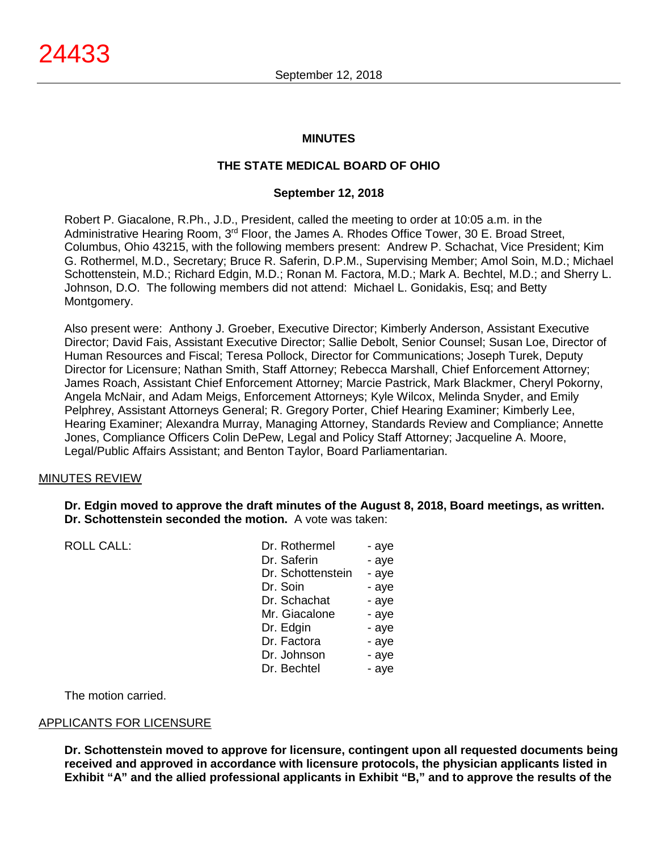#### **MINUTES**

#### **THE STATE MEDICAL BOARD OF OHIO**

#### **September 12, 2018**

Robert P. Giacalone, R.Ph., J.D., President, called the meeting to order at 10:05 a.m. in the Administrative Hearing Room, 3rd Floor, the James A. Rhodes Office Tower, 30 E. Broad Street, Columbus, Ohio 43215, with the following members present: Andrew P. Schachat, Vice President; Kim G. Rothermel, M.D., Secretary; Bruce R. Saferin, D.P.M., Supervising Member; Amol Soin, M.D.; Michael Schottenstein, M.D.; Richard Edgin, M.D.; Ronan M. Factora, M.D.; Mark A. Bechtel, M.D.; and Sherry L. Johnson, D.O. The following members did not attend: Michael L. Gonidakis, Esq; and Betty Montgomery.

Also present were: Anthony J. Groeber, Executive Director; Kimberly Anderson, Assistant Executive Director; David Fais, Assistant Executive Director; Sallie Debolt, Senior Counsel; Susan Loe, Director of Human Resources and Fiscal; Teresa Pollock, Director for Communications; Joseph Turek, Deputy Director for Licensure; Nathan Smith, Staff Attorney; Rebecca Marshall, Chief Enforcement Attorney; James Roach, Assistant Chief Enforcement Attorney; Marcie Pastrick, Mark Blackmer, Cheryl Pokorny, Angela McNair, and Adam Meigs, Enforcement Attorneys; Kyle Wilcox, Melinda Snyder, and Emily Pelphrey, Assistant Attorneys General; R. Gregory Porter, Chief Hearing Examiner; Kimberly Lee, Hearing Examiner; Alexandra Murray, Managing Attorney, Standards Review and Compliance; Annette Jones, Compliance Officers Colin DePew, Legal and Policy Staff Attorney; Jacqueline A. Moore, Legal/Public Affairs Assistant; and Benton Taylor, Board Parliamentarian.

#### MINUTES REVIEW

**Dr. Edgin moved to approve the draft minutes of the August 8, 2018, Board meetings, as written. Dr. Schottenstein seconded the motion.** A vote was taken:

| <b>ROLL CALL:</b> | Dr. Rothermel     | - aye |
|-------------------|-------------------|-------|
|                   | Dr. Saferin       | - aye |
|                   | Dr. Schottenstein | - aye |
|                   | Dr. Soin          | - aye |
|                   | Dr. Schachat      | - aye |
|                   | Mr. Giacalone     | - aye |
|                   | Dr. Edgin         | - aye |
|                   | Dr. Factora       | - aye |
|                   | Dr. Johnson       | - aye |
|                   | Dr. Bechtel       | - aye |
|                   |                   |       |

The motion carried.

#### APPLICANTS FOR LICENSURE

**Dr. Schottenstein moved to approve for licensure, contingent upon all requested documents being received and approved in accordance with licensure protocols, the physician applicants listed in Exhibit "A" and the allied professional applicants in Exhibit "B," and to approve the results of the**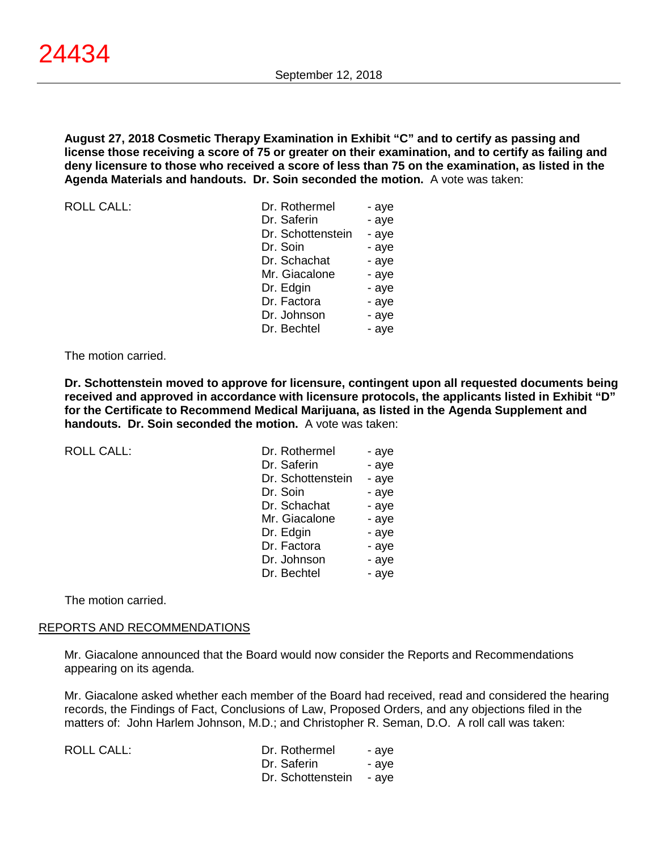**August 27, 2018 Cosmetic Therapy Examination in Exhibit "C" and to certify as passing and license those receiving a score of 75 or greater on their examination, and to certify as failing and deny licensure to those who received a score of less than 75 on the examination, as listed in the Agenda Materials and handouts. Dr. Soin seconded the motion.** A vote was taken:

ROLL CALL:

| Dr. Rothermel     | - aye |
|-------------------|-------|
| Dr. Saferin       | - aye |
| Dr. Schottenstein | - aye |
| Dr. Soin          | - aye |
| Dr. Schachat      | - aye |
| Mr. Giacalone     | - aye |
| Dr. Edgin         | - aye |
| Dr. Factora       | - aye |
| Dr. Johnson       | - aye |
| Dr. Bechtel       | - aye |

#### The motion carried.

**Dr. Schottenstein moved to approve for licensure, contingent upon all requested documents being received and approved in accordance with licensure protocols, the applicants listed in Exhibit "D" for the Certificate to Recommend Medical Marijuana, as listed in the Agenda Supplement and handouts. Dr. Soin seconded the motion.** A vote was taken:

| <b>ROLL CALL:</b> | Dr. Rothermel     | - aye |
|-------------------|-------------------|-------|
|                   | Dr. Saferin       | - aye |
|                   | Dr. Schottenstein | - aye |
|                   | Dr. Soin          | - aye |
|                   | Dr. Schachat      | - aye |
|                   | Mr. Giacalone     | - aye |
|                   | Dr. Edgin         | - aye |
|                   | Dr. Factora       | - aye |
|                   | Dr. Johnson       | - aye |
|                   | Dr. Bechtel       | - aye |
|                   |                   |       |

The motion carried.

#### REPORTS AND RECOMMENDATIONS

Mr. Giacalone announced that the Board would now consider the Reports and Recommendations appearing on its agenda.

Mr. Giacalone asked whether each member of the Board had received, read and considered the hearing records, the Findings of Fact, Conclusions of Law, Proposed Orders, and any objections filed in the matters of: John Harlem Johnson, M.D.; and Christopher R. Seman, D.O. A roll call was taken:

ROLL CALL:

| Dr. Rothermel     | - aye |
|-------------------|-------|
| Dr. Saferin       | - aye |
| Dr. Schottenstein | - aye |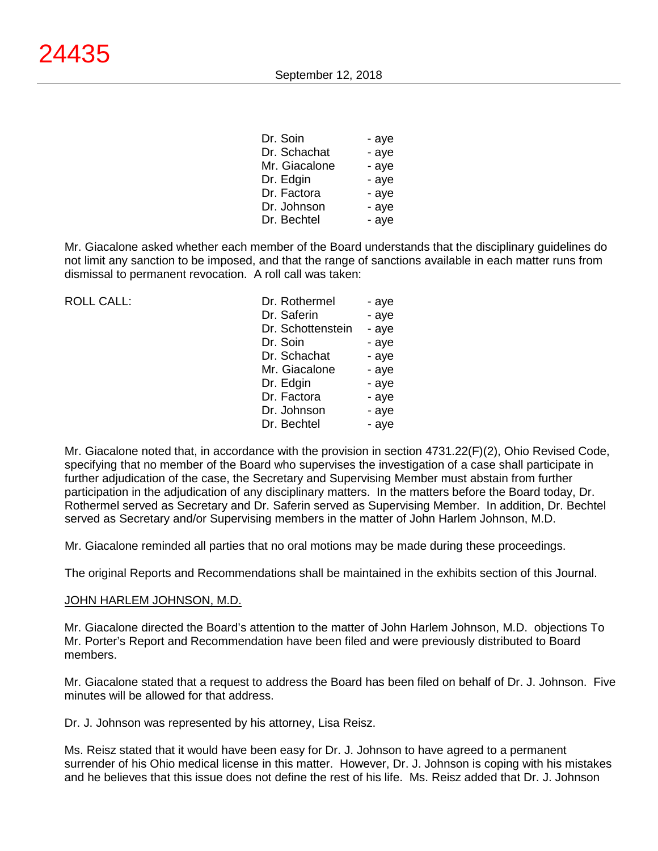| Dr. Soin      | - aye |
|---------------|-------|
| Dr. Schachat  | - aye |
| Mr. Giacalone | - aye |
| Dr. Edgin     | - aye |
| Dr. Factora   | - aye |
| Dr. Johnson   | - aye |
| Dr. Bechtel   | - aye |

Mr. Giacalone asked whether each member of the Board understands that the disciplinary guidelines do not limit any sanction to be imposed, and that the range of sanctions available in each matter runs from dismissal to permanent revocation. A roll call was taken:

 $ROILCAII$ :

| Dr. Rothermel     | - aye |
|-------------------|-------|
| Dr. Saferin       | - aye |
| Dr. Schottenstein | - aye |
| Dr. Soin          | - aye |
| Dr. Schachat      | - aye |
| Mr. Giacalone     | - aye |
| Dr. Edgin         | - aye |
| Dr. Factora       | - aye |
| Dr. Johnson       | - aye |
| Dr. Bechtel       | - aye |
|                   |       |

Mr. Giacalone noted that, in accordance with the provision in section 4731.22(F)(2), Ohio Revised Code, specifying that no member of the Board who supervises the investigation of a case shall participate in further adjudication of the case, the Secretary and Supervising Member must abstain from further participation in the adjudication of any disciplinary matters. In the matters before the Board today, Dr. Rothermel served as Secretary and Dr. Saferin served as Supervising Member. In addition, Dr. Bechtel served as Secretary and/or Supervising members in the matter of John Harlem Johnson, M.D.

Mr. Giacalone reminded all parties that no oral motions may be made during these proceedings.

The original Reports and Recommendations shall be maintained in the exhibits section of this Journal.

#### JOHN HARLEM JOHNSON, M.D.

Mr. Giacalone directed the Board's attention to the matter of John Harlem Johnson, M.D. objections To Mr. Porter's Report and Recommendation have been filed and were previously distributed to Board members.

Mr. Giacalone stated that a request to address the Board has been filed on behalf of Dr. J. Johnson. Five minutes will be allowed for that address.

Dr. J. Johnson was represented by his attorney, Lisa Reisz.

Ms. Reisz stated that it would have been easy for Dr. J. Johnson to have agreed to a permanent surrender of his Ohio medical license in this matter. However, Dr. J. Johnson is coping with his mistakes and he believes that this issue does not define the rest of his life. Ms. Reisz added that Dr. J. Johnson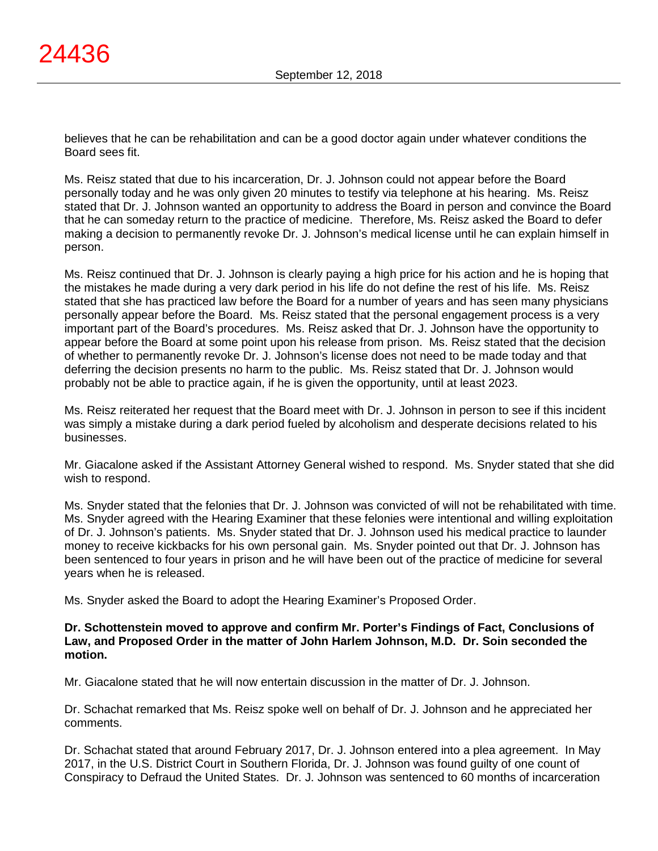believes that he can be rehabilitation and can be a good doctor again under whatever conditions the Board sees fit.

Ms. Reisz stated that due to his incarceration, Dr. J. Johnson could not appear before the Board personally today and he was only given 20 minutes to testify via telephone at his hearing. Ms. Reisz stated that Dr. J. Johnson wanted an opportunity to address the Board in person and convince the Board that he can someday return to the practice of medicine. Therefore, Ms. Reisz asked the Board to defer making a decision to permanently revoke Dr. J. Johnson's medical license until he can explain himself in person.

Ms. Reisz continued that Dr. J. Johnson is clearly paying a high price for his action and he is hoping that the mistakes he made during a very dark period in his life do not define the rest of his life. Ms. Reisz stated that she has practiced law before the Board for a number of years and has seen many physicians personally appear before the Board. Ms. Reisz stated that the personal engagement process is a very important part of the Board's procedures. Ms. Reisz asked that Dr. J. Johnson have the opportunity to appear before the Board at some point upon his release from prison. Ms. Reisz stated that the decision of whether to permanently revoke Dr. J. Johnson's license does not need to be made today and that deferring the decision presents no harm to the public. Ms. Reisz stated that Dr. J. Johnson would probably not be able to practice again, if he is given the opportunity, until at least 2023.

Ms. Reisz reiterated her request that the Board meet with Dr. J. Johnson in person to see if this incident was simply a mistake during a dark period fueled by alcoholism and desperate decisions related to his businesses.

Mr. Giacalone asked if the Assistant Attorney General wished to respond. Ms. Snyder stated that she did wish to respond.

Ms. Snyder stated that the felonies that Dr. J. Johnson was convicted of will not be rehabilitated with time. Ms. Snyder agreed with the Hearing Examiner that these felonies were intentional and willing exploitation of Dr. J. Johnson's patients. Ms. Snyder stated that Dr. J. Johnson used his medical practice to launder money to receive kickbacks for his own personal gain. Ms. Snyder pointed out that Dr. J. Johnson has been sentenced to four years in prison and he will have been out of the practice of medicine for several years when he is released.

Ms. Snyder asked the Board to adopt the Hearing Examiner's Proposed Order.

#### **Dr. Schottenstein moved to approve and confirm Mr. Porter's Findings of Fact, Conclusions of Law, and Proposed Order in the matter of John Harlem Johnson, M.D. Dr. Soin seconded the motion.**

Mr. Giacalone stated that he will now entertain discussion in the matter of Dr. J. Johnson.

Dr. Schachat remarked that Ms. Reisz spoke well on behalf of Dr. J. Johnson and he appreciated her comments.

Dr. Schachat stated that around February 2017, Dr. J. Johnson entered into a plea agreement. In May 2017, in the U.S. District Court in Southern Florida, Dr. J. Johnson was found guilty of one count of Conspiracy to Defraud the United States. Dr. J. Johnson was sentenced to 60 months of incarceration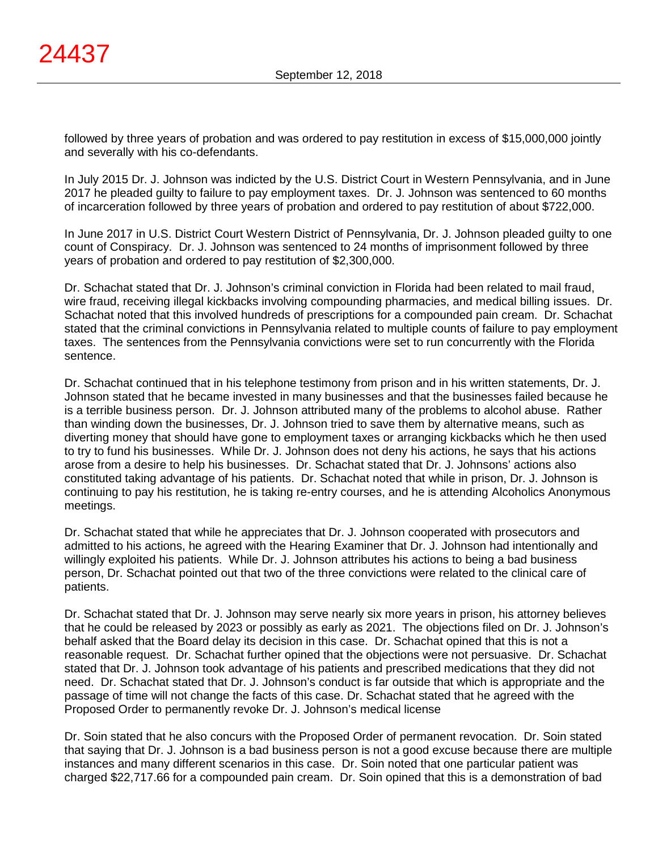followed by three years of probation and was ordered to pay restitution in excess of \$15,000,000 jointly and severally with his co-defendants.

In July 2015 Dr. J. Johnson was indicted by the U.S. District Court in Western Pennsylvania, and in June 2017 he pleaded guilty to failure to pay employment taxes. Dr. J. Johnson was sentenced to 60 months of incarceration followed by three years of probation and ordered to pay restitution of about \$722,000.

In June 2017 in U.S. District Court Western District of Pennsylvania, Dr. J. Johnson pleaded guilty to one count of Conspiracy. Dr. J. Johnson was sentenced to 24 months of imprisonment followed by three years of probation and ordered to pay restitution of \$2,300,000.

Dr. Schachat stated that Dr. J. Johnson's criminal conviction in Florida had been related to mail fraud, wire fraud, receiving illegal kickbacks involving compounding pharmacies, and medical billing issues. Dr. Schachat noted that this involved hundreds of prescriptions for a compounded pain cream. Dr. Schachat stated that the criminal convictions in Pennsylvania related to multiple counts of failure to pay employment taxes. The sentences from the Pennsylvania convictions were set to run concurrently with the Florida sentence.

Dr. Schachat continued that in his telephone testimony from prison and in his written statements, Dr. J. Johnson stated that he became invested in many businesses and that the businesses failed because he is a terrible business person. Dr. J. Johnson attributed many of the problems to alcohol abuse. Rather than winding down the businesses, Dr. J. Johnson tried to save them by alternative means, such as diverting money that should have gone to employment taxes or arranging kickbacks which he then used to try to fund his businesses. While Dr. J. Johnson does not deny his actions, he says that his actions arose from a desire to help his businesses. Dr. Schachat stated that Dr. J. Johnsons' actions also constituted taking advantage of his patients. Dr. Schachat noted that while in prison, Dr. J. Johnson is continuing to pay his restitution, he is taking re-entry courses, and he is attending Alcoholics Anonymous meetings.

Dr. Schachat stated that while he appreciates that Dr. J. Johnson cooperated with prosecutors and admitted to his actions, he agreed with the Hearing Examiner that Dr. J. Johnson had intentionally and willingly exploited his patients. While Dr. J. Johnson attributes his actions to being a bad business person, Dr. Schachat pointed out that two of the three convictions were related to the clinical care of patients.

Dr. Schachat stated that Dr. J. Johnson may serve nearly six more years in prison, his attorney believes that he could be released by 2023 or possibly as early as 2021. The objections filed on Dr. J. Johnson's behalf asked that the Board delay its decision in this case. Dr. Schachat opined that this is not a reasonable request. Dr. Schachat further opined that the objections were not persuasive. Dr. Schachat stated that Dr. J. Johnson took advantage of his patients and prescribed medications that they did not need. Dr. Schachat stated that Dr. J. Johnson's conduct is far outside that which is appropriate and the passage of time will not change the facts of this case. Dr. Schachat stated that he agreed with the Proposed Order to permanently revoke Dr. J. Johnson's medical license

Dr. Soin stated that he also concurs with the Proposed Order of permanent revocation. Dr. Soin stated that saying that Dr. J. Johnson is a bad business person is not a good excuse because there are multiple instances and many different scenarios in this case. Dr. Soin noted that one particular patient was charged \$22,717.66 for a compounded pain cream. Dr. Soin opined that this is a demonstration of bad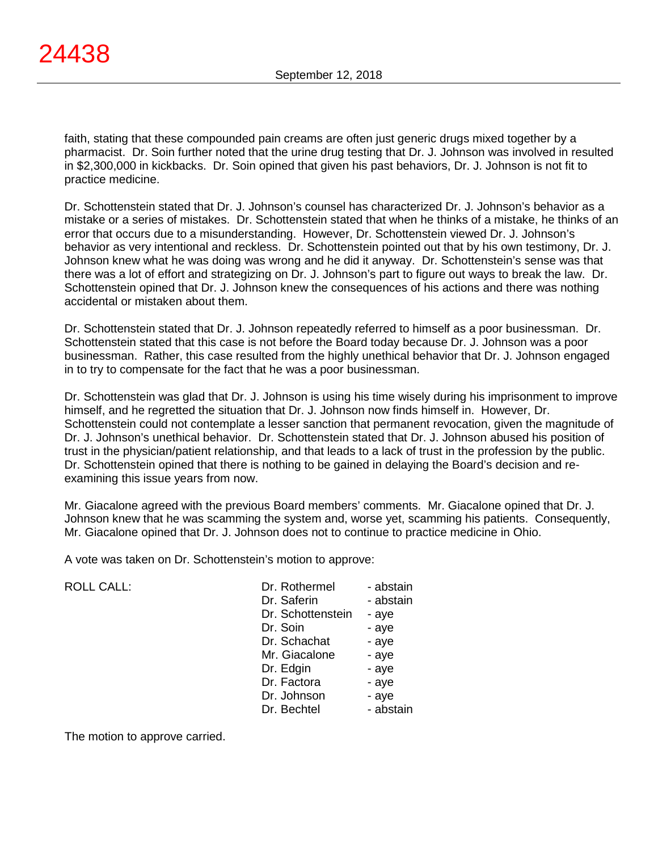faith, stating that these compounded pain creams are often just generic drugs mixed together by a pharmacist. Dr. Soin further noted that the urine drug testing that Dr. J. Johnson was involved in resulted in \$2,300,000 in kickbacks. Dr. Soin opined that given his past behaviors, Dr. J. Johnson is not fit to practice medicine.

Dr. Schottenstein stated that Dr. J. Johnson's counsel has characterized Dr. J. Johnson's behavior as a mistake or a series of mistakes. Dr. Schottenstein stated that when he thinks of a mistake, he thinks of an error that occurs due to a misunderstanding. However, Dr. Schottenstein viewed Dr. J. Johnson's behavior as very intentional and reckless. Dr. Schottenstein pointed out that by his own testimony, Dr. J. Johnson knew what he was doing was wrong and he did it anyway. Dr. Schottenstein's sense was that there was a lot of effort and strategizing on Dr. J. Johnson's part to figure out ways to break the law. Dr. Schottenstein opined that Dr. J. Johnson knew the consequences of his actions and there was nothing accidental or mistaken about them.

Dr. Schottenstein stated that Dr. J. Johnson repeatedly referred to himself as a poor businessman. Dr. Schottenstein stated that this case is not before the Board today because Dr. J. Johnson was a poor businessman. Rather, this case resulted from the highly unethical behavior that Dr. J. Johnson engaged in to try to compensate for the fact that he was a poor businessman.

Dr. Schottenstein was glad that Dr. J. Johnson is using his time wisely during his imprisonment to improve himself, and he regretted the situation that Dr. J. Johnson now finds himself in. However, Dr. Schottenstein could not contemplate a lesser sanction that permanent revocation, given the magnitude of Dr. J. Johnson's unethical behavior. Dr. Schottenstein stated that Dr. J. Johnson abused his position of trust in the physician/patient relationship, and that leads to a lack of trust in the profession by the public. Dr. Schottenstein opined that there is nothing to be gained in delaying the Board's decision and reexamining this issue years from now.

Mr. Giacalone agreed with the previous Board members' comments. Mr. Giacalone opined that Dr. J. Johnson knew that he was scamming the system and, worse yet, scamming his patients. Consequently, Mr. Giacalone opined that Dr. J. Johnson does not to continue to practice medicine in Ohio.

A vote was taken on Dr. Schottenstein's motion to approve:

ROLL CALL:

| Dr. Rothermel     | - abstain |
|-------------------|-----------|
| Dr. Saferin       | - abstain |
| Dr. Schottenstein | - aye     |
| Dr. Soin          | - aye     |
| Dr. Schachat      | - aye     |
| Mr. Giacalone     | - aye     |
| Dr. Edgin         | - aye     |
| Dr. Factora       | - aye     |
| Dr. Johnson       | - aye     |
| Dr. Bechtel       | - abstain |

The motion to approve carried.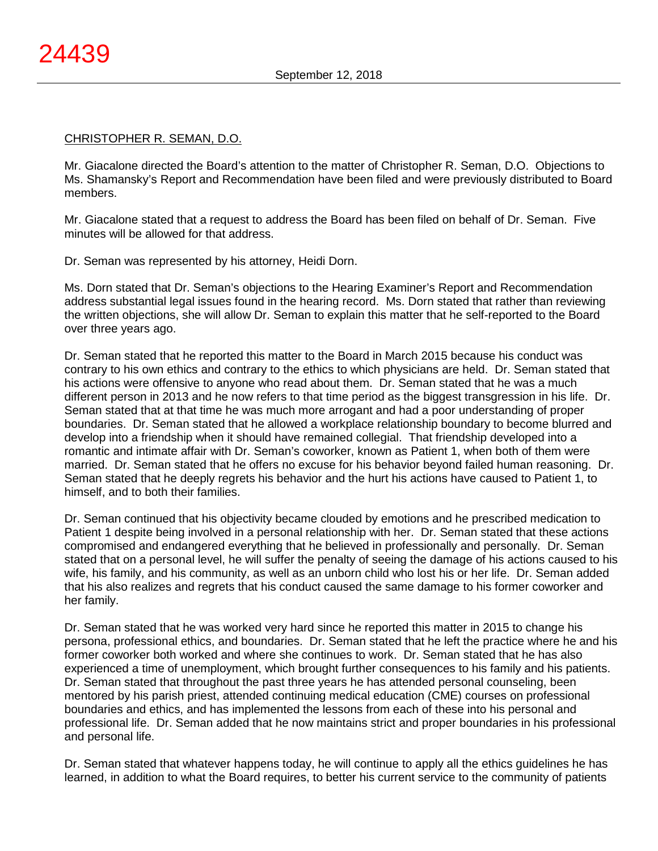## CHRISTOPHER R. SEMAN, D.O.

Mr. Giacalone directed the Board's attention to the matter of Christopher R. Seman, D.O. Objections to Ms. Shamansky's Report and Recommendation have been filed and were previously distributed to Board members.

Mr. Giacalone stated that a request to address the Board has been filed on behalf of Dr. Seman. Five minutes will be allowed for that address.

Dr. Seman was represented by his attorney, Heidi Dorn.

Ms. Dorn stated that Dr. Seman's objections to the Hearing Examiner's Report and Recommendation address substantial legal issues found in the hearing record. Ms. Dorn stated that rather than reviewing the written objections, she will allow Dr. Seman to explain this matter that he self-reported to the Board over three years ago.

Dr. Seman stated that he reported this matter to the Board in March 2015 because his conduct was contrary to his own ethics and contrary to the ethics to which physicians are held. Dr. Seman stated that his actions were offensive to anyone who read about them. Dr. Seman stated that he was a much different person in 2013 and he now refers to that time period as the biggest transgression in his life. Dr. Seman stated that at that time he was much more arrogant and had a poor understanding of proper boundaries. Dr. Seman stated that he allowed a workplace relationship boundary to become blurred and develop into a friendship when it should have remained collegial. That friendship developed into a romantic and intimate affair with Dr. Seman's coworker, known as Patient 1, when both of them were married. Dr. Seman stated that he offers no excuse for his behavior beyond failed human reasoning. Dr. Seman stated that he deeply regrets his behavior and the hurt his actions have caused to Patient 1, to himself, and to both their families.

Dr. Seman continued that his objectivity became clouded by emotions and he prescribed medication to Patient 1 despite being involved in a personal relationship with her. Dr. Seman stated that these actions compromised and endangered everything that he believed in professionally and personally. Dr. Seman stated that on a personal level, he will suffer the penalty of seeing the damage of his actions caused to his wife, his family, and his community, as well as an unborn child who lost his or her life. Dr. Seman added that his also realizes and regrets that his conduct caused the same damage to his former coworker and her family.

Dr. Seman stated that he was worked very hard since he reported this matter in 2015 to change his persona, professional ethics, and boundaries. Dr. Seman stated that he left the practice where he and his former coworker both worked and where she continues to work. Dr. Seman stated that he has also experienced a time of unemployment, which brought further consequences to his family and his patients. Dr. Seman stated that throughout the past three years he has attended personal counseling, been mentored by his parish priest, attended continuing medical education (CME) courses on professional boundaries and ethics, and has implemented the lessons from each of these into his personal and professional life. Dr. Seman added that he now maintains strict and proper boundaries in his professional and personal life.

Dr. Seman stated that whatever happens today, he will continue to apply all the ethics guidelines he has learned, in addition to what the Board requires, to better his current service to the community of patients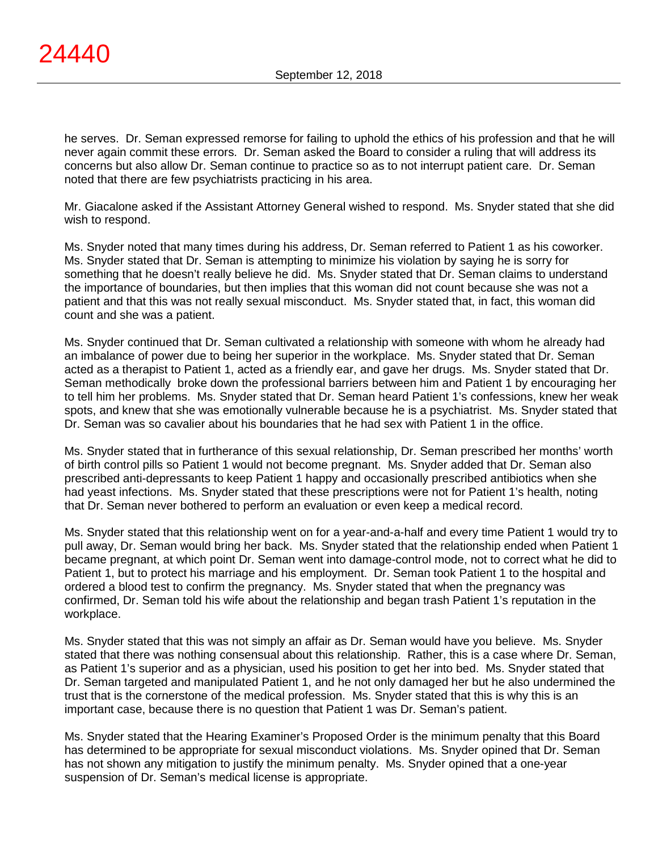he serves. Dr. Seman expressed remorse for failing to uphold the ethics of his profession and that he will never again commit these errors. Dr. Seman asked the Board to consider a ruling that will address its concerns but also allow Dr. Seman continue to practice so as to not interrupt patient care. Dr. Seman noted that there are few psychiatrists practicing in his area.

Mr. Giacalone asked if the Assistant Attorney General wished to respond. Ms. Snyder stated that she did wish to respond.

Ms. Snyder noted that many times during his address, Dr. Seman referred to Patient 1 as his coworker. Ms. Snyder stated that Dr. Seman is attempting to minimize his violation by saying he is sorry for something that he doesn't really believe he did. Ms. Snyder stated that Dr. Seman claims to understand the importance of boundaries, but then implies that this woman did not count because she was not a patient and that this was not really sexual misconduct. Ms. Snyder stated that, in fact, this woman did count and she was a patient.

Ms. Snyder continued that Dr. Seman cultivated a relationship with someone with whom he already had an imbalance of power due to being her superior in the workplace. Ms. Snyder stated that Dr. Seman acted as a therapist to Patient 1, acted as a friendly ear, and gave her drugs. Ms. Snyder stated that Dr. Seman methodically broke down the professional barriers between him and Patient 1 by encouraging her to tell him her problems. Ms. Snyder stated that Dr. Seman heard Patient 1's confessions, knew her weak spots, and knew that she was emotionally vulnerable because he is a psychiatrist. Ms. Snyder stated that Dr. Seman was so cavalier about his boundaries that he had sex with Patient 1 in the office.

Ms. Snyder stated that in furtherance of this sexual relationship, Dr. Seman prescribed her months' worth of birth control pills so Patient 1 would not become pregnant. Ms. Snyder added that Dr. Seman also prescribed anti-depressants to keep Patient 1 happy and occasionally prescribed antibiotics when she had yeast infections. Ms. Snyder stated that these prescriptions were not for Patient 1's health, noting that Dr. Seman never bothered to perform an evaluation or even keep a medical record.

Ms. Snyder stated that this relationship went on for a year-and-a-half and every time Patient 1 would try to pull away, Dr. Seman would bring her back. Ms. Snyder stated that the relationship ended when Patient 1 became pregnant, at which point Dr. Seman went into damage-control mode, not to correct what he did to Patient 1, but to protect his marriage and his employment. Dr. Seman took Patient 1 to the hospital and ordered a blood test to confirm the pregnancy. Ms. Snyder stated that when the pregnancy was confirmed, Dr. Seman told his wife about the relationship and began trash Patient 1's reputation in the workplace.

Ms. Snyder stated that this was not simply an affair as Dr. Seman would have you believe. Ms. Snyder stated that there was nothing consensual about this relationship. Rather, this is a case where Dr. Seman, as Patient 1's superior and as a physician, used his position to get her into bed. Ms. Snyder stated that Dr. Seman targeted and manipulated Patient 1, and he not only damaged her but he also undermined the trust that is the cornerstone of the medical profession. Ms. Snyder stated that this is why this is an important case, because there is no question that Patient 1 was Dr. Seman's patient.

Ms. Snyder stated that the Hearing Examiner's Proposed Order is the minimum penalty that this Board has determined to be appropriate for sexual misconduct violations. Ms. Snyder opined that Dr. Seman has not shown any mitigation to justify the minimum penalty. Ms. Snyder opined that a one-year suspension of Dr. Seman's medical license is appropriate.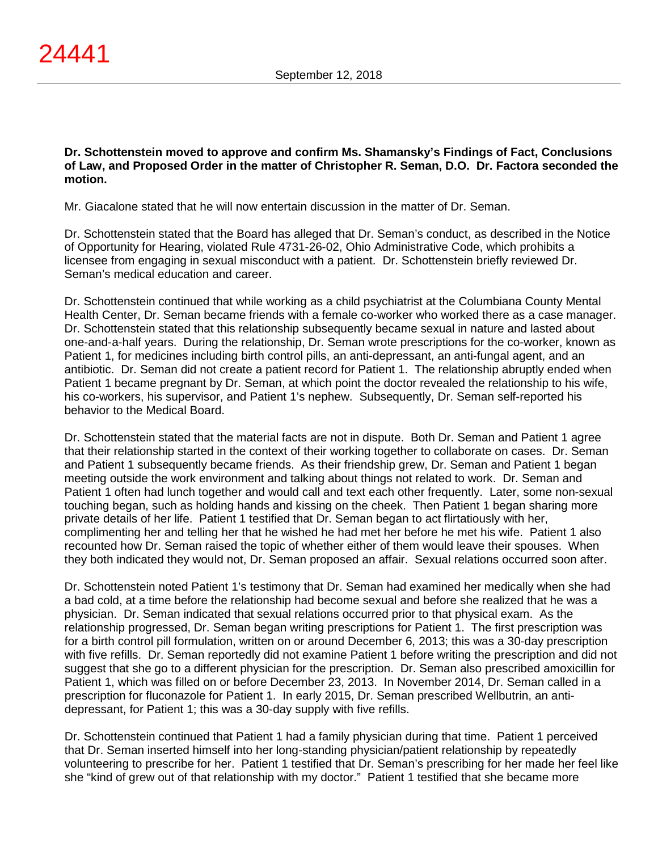**Dr. Schottenstein moved to approve and confirm Ms. Shamansky's Findings of Fact, Conclusions of Law, and Proposed Order in the matter of Christopher R. Seman, D.O. Dr. Factora seconded the motion.**

Mr. Giacalone stated that he will now entertain discussion in the matter of Dr. Seman.

Dr. Schottenstein stated that the Board has alleged that Dr. Seman's conduct, as described in the Notice of Opportunity for Hearing, violated Rule 4731-26-02, Ohio Administrative Code, which prohibits a licensee from engaging in sexual misconduct with a patient. Dr. Schottenstein briefly reviewed Dr. Seman's medical education and career.

Dr. Schottenstein continued that while working as a child psychiatrist at the Columbiana County Mental Health Center, Dr. Seman became friends with a female co-worker who worked there as a case manager. Dr. Schottenstein stated that this relationship subsequently became sexual in nature and lasted about one-and-a-half years. During the relationship, Dr. Seman wrote prescriptions for the co-worker, known as Patient 1, for medicines including birth control pills, an anti-depressant, an anti-fungal agent, and an antibiotic. Dr. Seman did not create a patient record for Patient 1. The relationship abruptly ended when Patient 1 became pregnant by Dr. Seman, at which point the doctor revealed the relationship to his wife, his co-workers, his supervisor, and Patient 1's nephew. Subsequently, Dr. Seman self-reported his behavior to the Medical Board.

Dr. Schottenstein stated that the material facts are not in dispute. Both Dr. Seman and Patient 1 agree that their relationship started in the context of their working together to collaborate on cases. Dr. Seman and Patient 1 subsequently became friends. As their friendship grew, Dr. Seman and Patient 1 began meeting outside the work environment and talking about things not related to work. Dr. Seman and Patient 1 often had lunch together and would call and text each other frequently. Later, some non-sexual touching began, such as holding hands and kissing on the cheek. Then Patient 1 began sharing more private details of her life. Patient 1 testified that Dr. Seman began to act flirtatiously with her, complimenting her and telling her that he wished he had met her before he met his wife. Patient 1 also recounted how Dr. Seman raised the topic of whether either of them would leave their spouses. When they both indicated they would not, Dr. Seman proposed an affair. Sexual relations occurred soon after.

Dr. Schottenstein noted Patient 1's testimony that Dr. Seman had examined her medically when she had a bad cold, at a time before the relationship had become sexual and before she realized that he was a physician. Dr. Seman indicated that sexual relations occurred prior to that physical exam. As the relationship progressed, Dr. Seman began writing prescriptions for Patient 1. The first prescription was for a birth control pill formulation, written on or around December 6, 2013; this was a 30-day prescription with five refills. Dr. Seman reportedly did not examine Patient 1 before writing the prescription and did not suggest that she go to a different physician for the prescription. Dr. Seman also prescribed amoxicillin for Patient 1, which was filled on or before December 23, 2013. In November 2014, Dr. Seman called in a prescription for fluconazole for Patient 1. In early 2015, Dr. Seman prescribed Wellbutrin, an antidepressant, for Patient 1; this was a 30-day supply with five refills.

Dr. Schottenstein continued that Patient 1 had a family physician during that time. Patient 1 perceived that Dr. Seman inserted himself into her long-standing physician/patient relationship by repeatedly volunteering to prescribe for her. Patient 1 testified that Dr. Seman's prescribing for her made her feel like she "kind of grew out of that relationship with my doctor." Patient 1 testified that she became more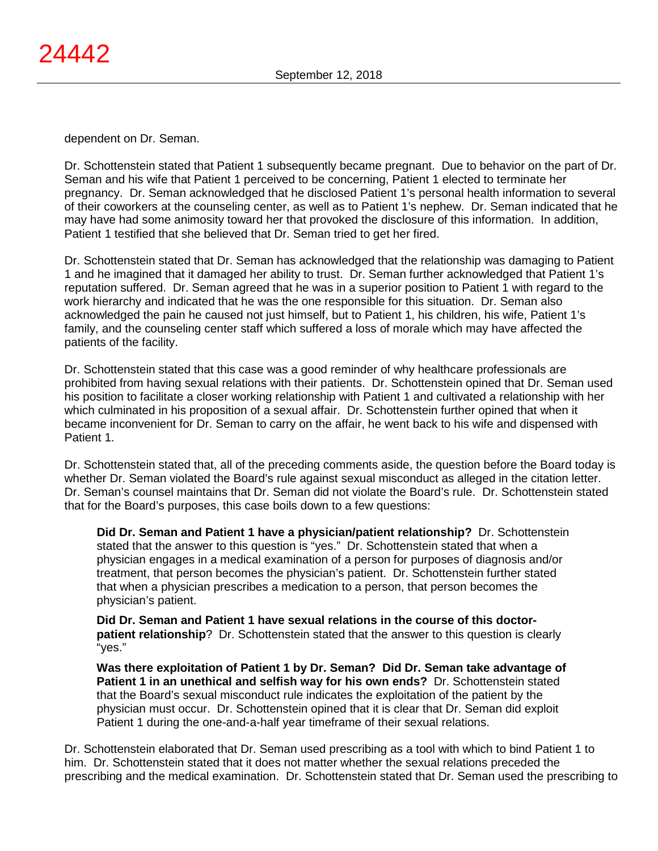dependent on Dr. Seman.

Dr. Schottenstein stated that Patient 1 subsequently became pregnant. Due to behavior on the part of Dr. Seman and his wife that Patient 1 perceived to be concerning, Patient 1 elected to terminate her pregnancy. Dr. Seman acknowledged that he disclosed Patient 1's personal health information to several of their coworkers at the counseling center, as well as to Patient 1's nephew. Dr. Seman indicated that he may have had some animosity toward her that provoked the disclosure of this information. In addition, Patient 1 testified that she believed that Dr. Seman tried to get her fired.

Dr. Schottenstein stated that Dr. Seman has acknowledged that the relationship was damaging to Patient 1 and he imagined that it damaged her ability to trust. Dr. Seman further acknowledged that Patient 1's reputation suffered. Dr. Seman agreed that he was in a superior position to Patient 1 with regard to the work hierarchy and indicated that he was the one responsible for this situation. Dr. Seman also acknowledged the pain he caused not just himself, but to Patient 1, his children, his wife, Patient 1's family, and the counseling center staff which suffered a loss of morale which may have affected the patients of the facility.

Dr. Schottenstein stated that this case was a good reminder of why healthcare professionals are prohibited from having sexual relations with their patients. Dr. Schottenstein opined that Dr. Seman used his position to facilitate a closer working relationship with Patient 1 and cultivated a relationship with her which culminated in his proposition of a sexual affair. Dr. Schottenstein further opined that when it became inconvenient for Dr. Seman to carry on the affair, he went back to his wife and dispensed with Patient 1.

Dr. Schottenstein stated that, all of the preceding comments aside, the question before the Board today is whether Dr. Seman violated the Board's rule against sexual misconduct as alleged in the citation letter. Dr. Seman's counsel maintains that Dr. Seman did not violate the Board's rule. Dr. Schottenstein stated that for the Board's purposes, this case boils down to a few questions:

**Did Dr. Seman and Patient 1 have a physician/patient relationship?** Dr. Schottenstein stated that the answer to this question is "yes." Dr. Schottenstein stated that when a physician engages in a medical examination of a person for purposes of diagnosis and/or treatment, that person becomes the physician's patient. Dr. Schottenstein further stated that when a physician prescribes a medication to a person, that person becomes the physician's patient.

**Did Dr. Seman and Patient 1 have sexual relations in the course of this doctorpatient relationship**? Dr. Schottenstein stated that the answer to this question is clearly "yes."

**Was there exploitation of Patient 1 by Dr. Seman? Did Dr. Seman take advantage of Patient 1 in an unethical and selfish way for his own ends?** Dr. Schottenstein stated that the Board's sexual misconduct rule indicates the exploitation of the patient by the physician must occur. Dr. Schottenstein opined that it is clear that Dr. Seman did exploit Patient 1 during the one-and-a-half year timeframe of their sexual relations.

Dr. Schottenstein elaborated that Dr. Seman used prescribing as a tool with which to bind Patient 1 to him. Dr. Schottenstein stated that it does not matter whether the sexual relations preceded the prescribing and the medical examination. Dr. Schottenstein stated that Dr. Seman used the prescribing to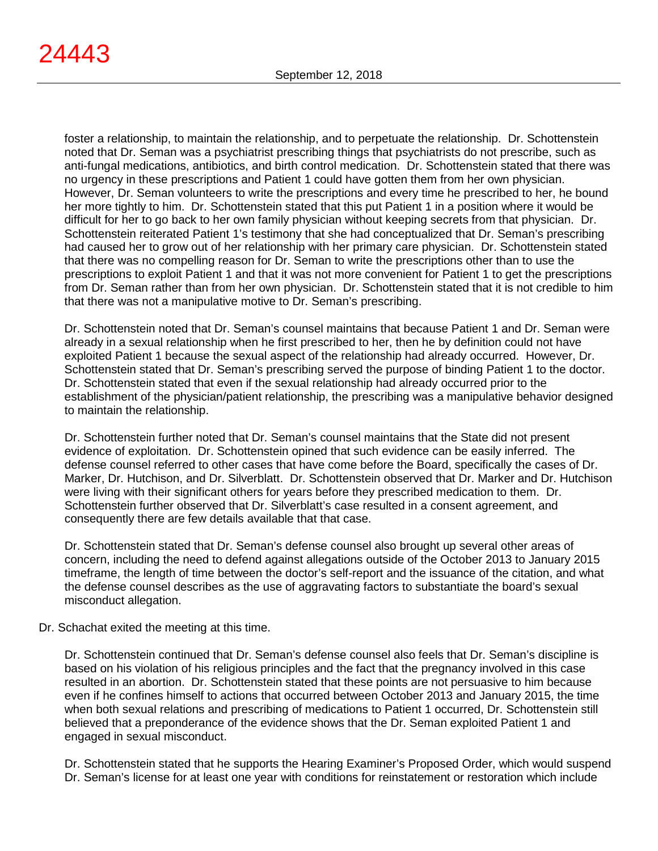foster a relationship, to maintain the relationship, and to perpetuate the relationship. Dr. Schottenstein noted that Dr. Seman was a psychiatrist prescribing things that psychiatrists do not prescribe, such as anti-fungal medications, antibiotics, and birth control medication. Dr. Schottenstein stated that there was no urgency in these prescriptions and Patient 1 could have gotten them from her own physician. However, Dr. Seman volunteers to write the prescriptions and every time he prescribed to her, he bound her more tightly to him. Dr. Schottenstein stated that this put Patient 1 in a position where it would be difficult for her to go back to her own family physician without keeping secrets from that physician. Dr. Schottenstein reiterated Patient 1's testimony that she had conceptualized that Dr. Seman's prescribing had caused her to grow out of her relationship with her primary care physician. Dr. Schottenstein stated that there was no compelling reason for Dr. Seman to write the prescriptions other than to use the prescriptions to exploit Patient 1 and that it was not more convenient for Patient 1 to get the prescriptions from Dr. Seman rather than from her own physician. Dr. Schottenstein stated that it is not credible to him that there was not a manipulative motive to Dr. Seman's prescribing.

Dr. Schottenstein noted that Dr. Seman's counsel maintains that because Patient 1 and Dr. Seman were already in a sexual relationship when he first prescribed to her, then he by definition could not have exploited Patient 1 because the sexual aspect of the relationship had already occurred. However, Dr. Schottenstein stated that Dr. Seman's prescribing served the purpose of binding Patient 1 to the doctor. Dr. Schottenstein stated that even if the sexual relationship had already occurred prior to the establishment of the physician/patient relationship, the prescribing was a manipulative behavior designed to maintain the relationship.

Dr. Schottenstein further noted that Dr. Seman's counsel maintains that the State did not present evidence of exploitation. Dr. Schottenstein opined that such evidence can be easily inferred. The defense counsel referred to other cases that have come before the Board, specifically the cases of Dr. Marker, Dr. Hutchison, and Dr. Silverblatt. Dr. Schottenstein observed that Dr. Marker and Dr. Hutchison were living with their significant others for years before they prescribed medication to them. Dr. Schottenstein further observed that Dr. Silverblatt's case resulted in a consent agreement, and consequently there are few details available that that case.

Dr. Schottenstein stated that Dr. Seman's defense counsel also brought up several other areas of concern, including the need to defend against allegations outside of the October 2013 to January 2015 timeframe, the length of time between the doctor's self-report and the issuance of the citation, and what the defense counsel describes as the use of aggravating factors to substantiate the board's sexual misconduct allegation.

Dr. Schachat exited the meeting at this time.

Dr. Schottenstein continued that Dr. Seman's defense counsel also feels that Dr. Seman's discipline is based on his violation of his religious principles and the fact that the pregnancy involved in this case resulted in an abortion. Dr. Schottenstein stated that these points are not persuasive to him because even if he confines himself to actions that occurred between October 2013 and January 2015, the time when both sexual relations and prescribing of medications to Patient 1 occurred, Dr. Schottenstein still believed that a preponderance of the evidence shows that the Dr. Seman exploited Patient 1 and engaged in sexual misconduct.

Dr. Schottenstein stated that he supports the Hearing Examiner's Proposed Order, which would suspend Dr. Seman's license for at least one year with conditions for reinstatement or restoration which include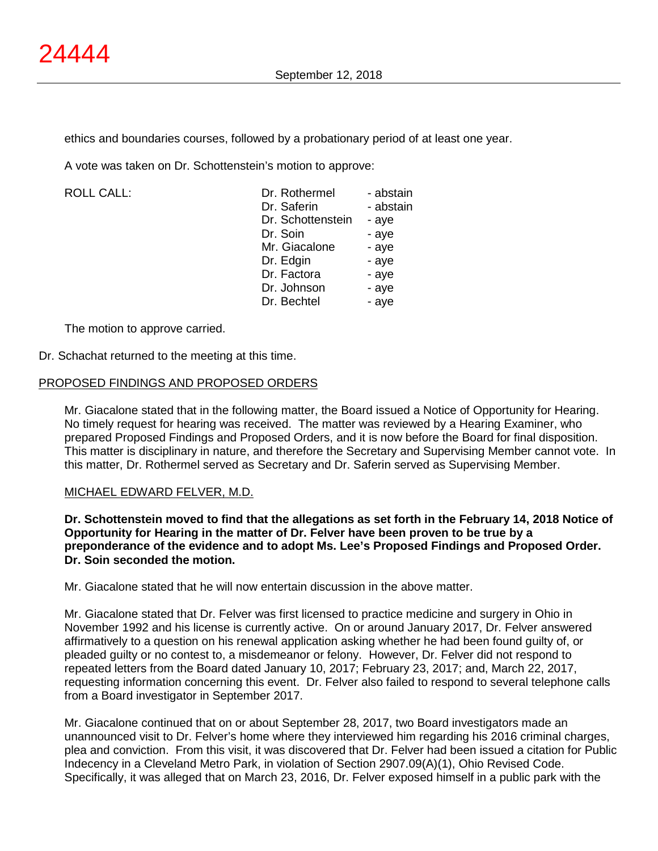ethics and boundaries courses, followed by a probationary period of at least one year.

A vote was taken on Dr. Schottenstein's motion to approve:

 $ROILCAIL$ :

| - abstain |
|-----------|
| - abstain |
| - aye     |
| - aye     |
| - aye     |
| - aye     |
| - aye     |
| - aye     |
| - aye     |
|           |

The motion to approve carried.

Dr. Schachat returned to the meeting at this time.

#### PROPOSED FINDINGS AND PROPOSED ORDERS

Mr. Giacalone stated that in the following matter, the Board issued a Notice of Opportunity for Hearing. No timely request for hearing was received. The matter was reviewed by a Hearing Examiner, who prepared Proposed Findings and Proposed Orders, and it is now before the Board for final disposition. This matter is disciplinary in nature, and therefore the Secretary and Supervising Member cannot vote. In this matter, Dr. Rothermel served as Secretary and Dr. Saferin served as Supervising Member.

#### MICHAEL EDWARD FELVER, M.D.

**Dr. Schottenstein moved to find that the allegations as set forth in the February 14, 2018 Notice of Opportunity for Hearing in the matter of Dr. Felver have been proven to be true by a preponderance of the evidence and to adopt Ms. Lee's Proposed Findings and Proposed Order. Dr. Soin seconded the motion.**

Mr. Giacalone stated that he will now entertain discussion in the above matter.

Mr. Giacalone stated that Dr. Felver was first licensed to practice medicine and surgery in Ohio in November 1992 and his license is currently active. On or around January 2017, Dr. Felver answered affirmatively to a question on his renewal application asking whether he had been found guilty of, or pleaded guilty or no contest to, a misdemeanor or felony. However, Dr. Felver did not respond to repeated letters from the Board dated January 10, 2017; February 23, 2017; and, March 22, 2017, requesting information concerning this event. Dr. Felver also failed to respond to several telephone calls from a Board investigator in September 2017.

Mr. Giacalone continued that on or about September 28, 2017, two Board investigators made an unannounced visit to Dr. Felver's home where they interviewed him regarding his 2016 criminal charges, plea and conviction. From this visit, it was discovered that Dr. Felver had been issued a citation for Public Indecency in a Cleveland Metro Park, in violation of Section 2907.09(A)(1), Ohio Revised Code. Specifically, it was alleged that on March 23, 2016, Dr. Felver exposed himself in a public park with the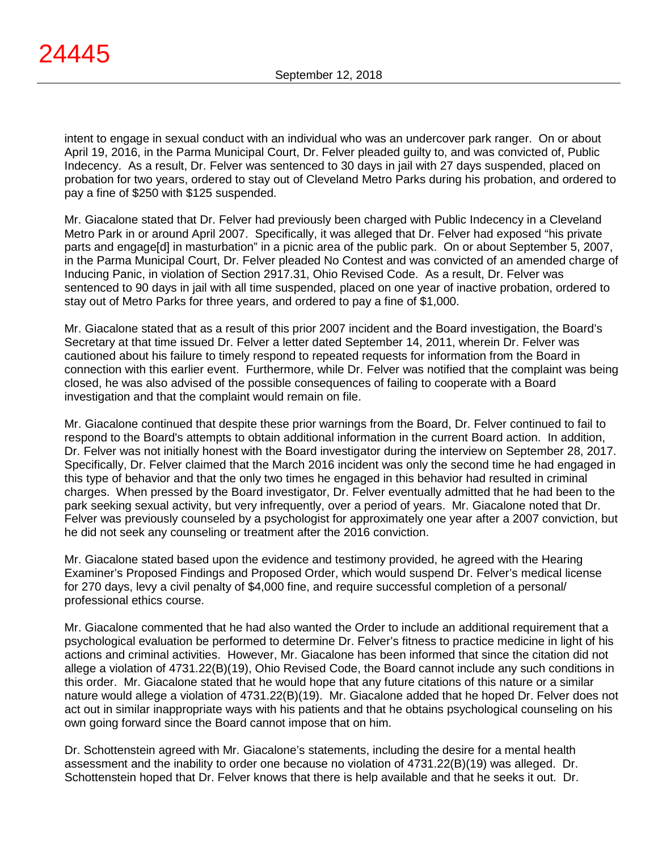intent to engage in sexual conduct with an individual who was an undercover park ranger. On or about April 19, 2016, in the Parma Municipal Court, Dr. Felver pleaded guilty to, and was convicted of, Public Indecency. As a result, Dr. Felver was sentenced to 30 days in jail with 27 days suspended, placed on probation for two years, ordered to stay out of Cleveland Metro Parks during his probation, and ordered to pay a fine of \$250 with \$125 suspended.

Mr. Giacalone stated that Dr. Felver had previously been charged with Public Indecency in a Cleveland Metro Park in or around April 2007. Specifically, it was alleged that Dr. Felver had exposed "his private parts and engage[d] in masturbation" in a picnic area of the public park. On or about September 5, 2007, in the Parma Municipal Court, Dr. Felver pleaded No Contest and was convicted of an amended charge of Inducing Panic, in violation of Section 2917.31, Ohio Revised Code. As a result, Dr. Felver was sentenced to 90 days in jail with all time suspended, placed on one year of inactive probation, ordered to stay out of Metro Parks for three years, and ordered to pay a fine of \$1,000.

Mr. Giacalone stated that as a result of this prior 2007 incident and the Board investigation, the Board's Secretary at that time issued Dr. Felver a letter dated September 14, 2011, wherein Dr. Felver was cautioned about his failure to timely respond to repeated requests for information from the Board in connection with this earlier event. Furthermore, while Dr. Felver was notified that the complaint was being closed, he was also advised of the possible consequences of failing to cooperate with a Board investigation and that the complaint would remain on file.

Mr. Giacalone continued that despite these prior warnings from the Board, Dr. Felver continued to fail to respond to the Board's attempts to obtain additional information in the current Board action. In addition, Dr. Felver was not initially honest with the Board investigator during the interview on September 28, 2017. Specifically, Dr. Felver claimed that the March 2016 incident was only the second time he had engaged in this type of behavior and that the only two times he engaged in this behavior had resulted in criminal charges. When pressed by the Board investigator, Dr. Felver eventually admitted that he had been to the park seeking sexual activity, but very infrequently, over a period of years. Mr. Giacalone noted that Dr. Felver was previously counseled by a psychologist for approximately one year after a 2007 conviction, but he did not seek any counseling or treatment after the 2016 conviction.

Mr. Giacalone stated based upon the evidence and testimony provided, he agreed with the Hearing Examiner's Proposed Findings and Proposed Order, which would suspend Dr. Felver's medical license for 270 days, levy a civil penalty of \$4,000 fine, and require successful completion of a personal/ professional ethics course.

Mr. Giacalone commented that he had also wanted the Order to include an additional requirement that a psychological evaluation be performed to determine Dr. Felver's fitness to practice medicine in light of his actions and criminal activities. However, Mr. Giacalone has been informed that since the citation did not allege a violation of 4731.22(B)(19), Ohio Revised Code, the Board cannot include any such conditions in this order. Mr. Giacalone stated that he would hope that any future citations of this nature or a similar nature would allege a violation of 4731.22(B)(19). Mr. Giacalone added that he hoped Dr. Felver does not act out in similar inappropriate ways with his patients and that he obtains psychological counseling on his own going forward since the Board cannot impose that on him.

Dr. Schottenstein agreed with Mr. Giacalone's statements, including the desire for a mental health assessment and the inability to order one because no violation of 4731.22(B)(19) was alleged. Dr. Schottenstein hoped that Dr. Felver knows that there is help available and that he seeks it out. Dr.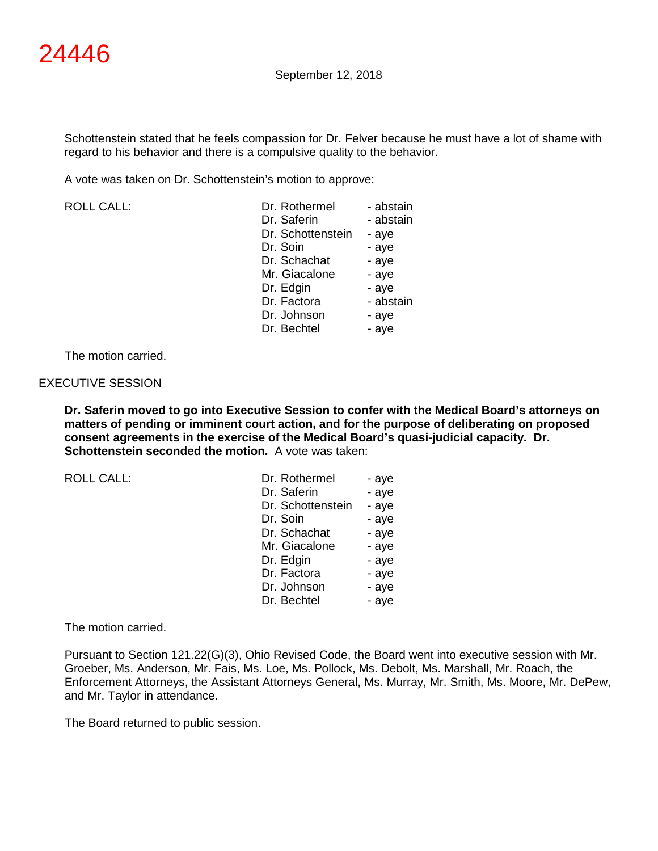Schottenstein stated that he feels compassion for Dr. Felver because he must have a lot of shame with regard to his behavior and there is a compulsive quality to the behavior.

A vote was taken on Dr. Schottenstein's motion to approve:

ROLL CALL:

| Dr. Rothermel     | - abstain |
|-------------------|-----------|
| Dr. Saferin       | - abstain |
| Dr. Schottenstein | - aye     |
| Dr. Soin          | - aye     |
| Dr. Schachat      | - aye     |
| Mr. Giacalone     | - aye     |
| Dr. Edgin         | - aye     |
| Dr. Factora       | - abstain |
| Dr. Johnson       | - aye     |
| Dr. Bechtel       | - ave     |

The motion carried.

#### EXECUTIVE SESSION

**Dr. Saferin moved to go into Executive Session to confer with the Medical Board's attorneys on matters of pending or imminent court action, and for the purpose of deliberating on proposed consent agreements in the exercise of the Medical Board's quasi-judicial capacity. Dr. Schottenstein seconded the motion.** A vote was taken:

ROLL CALL:

| Dr. Rothermel     | - aye |
|-------------------|-------|
| Dr. Saferin       | - aye |
| Dr. Schottenstein | - aye |
| Dr. Soin          | - aye |
| Dr. Schachat      | - aye |
| Mr. Giacalone     | - aye |
| Dr. Edgin         | - aye |
| Dr. Factora       | - aye |
| Dr. Johnson       | - aye |
| Dr. Bechtel       | - aye |

The motion carried.

Pursuant to Section 121.22(G)(3), Ohio Revised Code, the Board went into executive session with Mr. Groeber, Ms. Anderson, Mr. Fais, Ms. Loe, Ms. Pollock, Ms. Debolt, Ms. Marshall, Mr. Roach, the Enforcement Attorneys, the Assistant Attorneys General, Ms. Murray, Mr. Smith, Ms. Moore, Mr. DePew, and Mr. Taylor in attendance.

The Board returned to public session.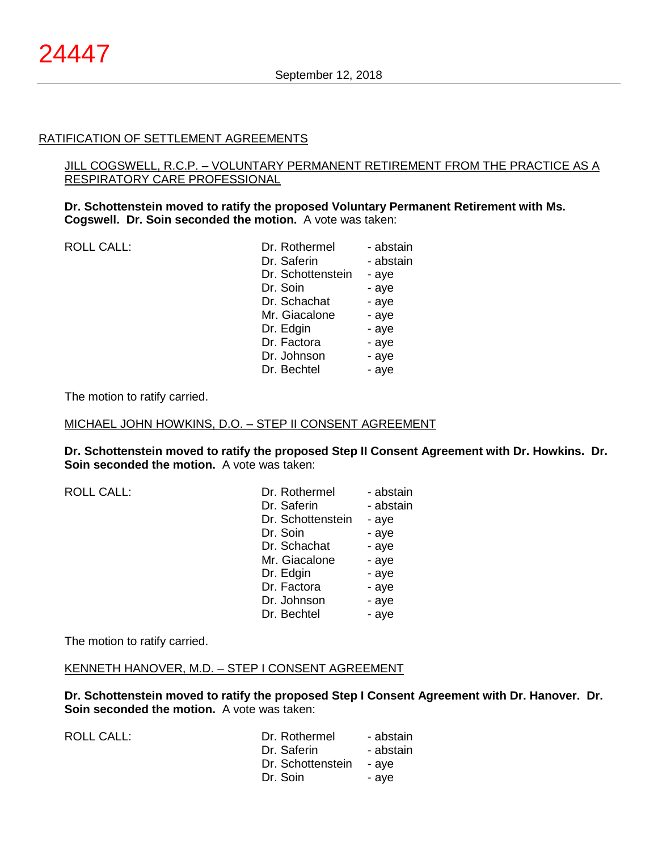#### RATIFICATION OF SETTLEMENT AGREEMENTS

## JILL COGSWELL, R.C.P. – VOLUNTARY PERMANENT RETIREMENT FROM THE PRACTICE AS A RESPIRATORY CARE PROFESSIONAL

#### **Dr. Schottenstein moved to ratify the proposed Voluntary Permanent Retirement with Ms. Cogswell. Dr. Soin seconded the motion.** A vote was taken:

ROLL CALL:

| Dr. Rothermel<br>Dr. Saferin<br>Dr. Schottenstein<br>Dr. Soin<br>Dr. Schachat<br>Mr. Giacalone<br>Dr. Edgin<br>Dr. Factora<br>Dr. Johnson | - abstain<br>- abstain<br>- aye<br>- aye<br>- aye<br>- aye<br>- aye<br>- aye |
|-------------------------------------------------------------------------------------------------------------------------------------------|------------------------------------------------------------------------------|
| Dr. Bechtel                                                                                                                               | - aye<br>- aye                                                               |
|                                                                                                                                           |                                                                              |

The motion to ratify carried.

MICHAEL JOHN HOWKINS, D.O. – STEP II CONSENT AGREEMENT

**Dr. Schottenstein moved to ratify the proposed Step II Consent Agreement with Dr. Howkins. Dr. Soin seconded the motion.** A vote was taken:

| Dr. Rothermel     | - abstain |
|-------------------|-----------|
| Dr. Saferin       | - abstain |
| Dr. Schottenstein | - aye     |
| Dr. Soin          | - aye     |
| Dr. Schachat      | - aye     |
| Mr. Giacalone     | - aye     |
| Dr. Edgin         | - aye     |
| Dr. Factora       | - aye     |
| Dr. Johnson       | - aye     |
| Dr. Bechtel       | - aye     |
|                   |           |

The motion to ratify carried.

# KENNETH HANOVER, M.D. – STEP I CONSENT AGREEMENT

**Dr. Schottenstein moved to ratify the proposed Step I Consent Agreement with Dr. Hanover. Dr. Soin seconded the motion.** A vote was taken:

| ROLL CALL: | Dr. Rothermel<br>Dr. Saferin  | - abstain<br>- abstain |
|------------|-------------------------------|------------------------|
|            | Dr. Schottenstein<br>Dr. Soin | - ave<br>- ave         |
|            |                               |                        |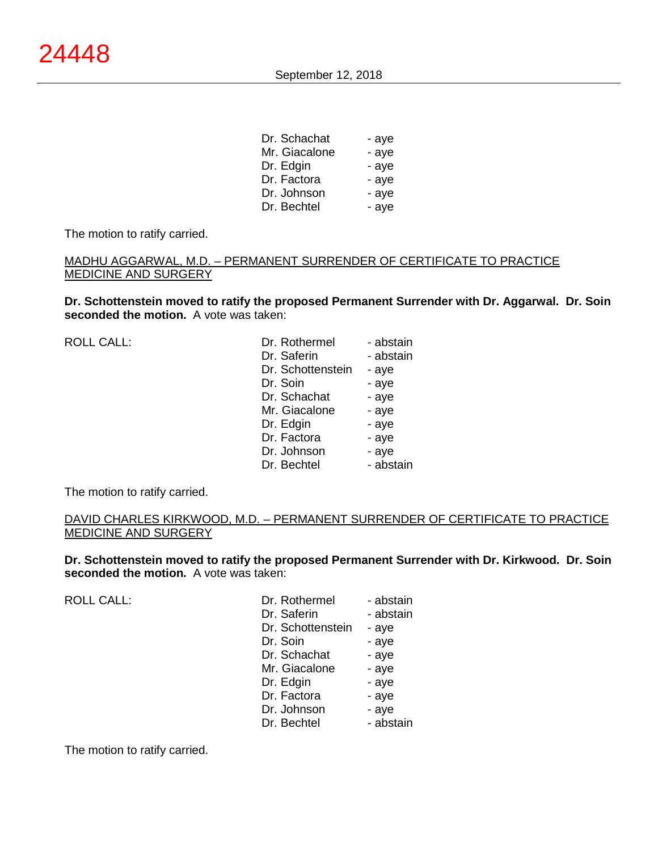| Dr. Schachat  | - aye |
|---------------|-------|
| Mr. Giacalone | - aye |
| Dr. Edgin     | - aye |
| Dr. Factora   | - aye |
| Dr. Johnson   | - aye |
| Dr. Bechtel   | - aye |
|               |       |

The motion to ratify carried.

## MADHU AGGARWAL, M.D. – PERMANENT SURRENDER OF CERTIFICATE TO PRACTICE MEDICINE AND SURGERY

**Dr. Schottenstein moved to ratify the proposed Permanent Surrender with Dr. Aggarwal. Dr. Soin seconded the motion.** A vote was taken:

ROLL CALL:

| Dr. Rothermel     | - abstain |
|-------------------|-----------|
| Dr. Saferin       | - abstain |
| Dr. Schottenstein | - aye     |
| Dr. Soin          | - aye     |
| Dr. Schachat      | - aye     |
| Mr. Giacalone     | - aye     |
| Dr. Edgin         | - aye     |
| Dr. Factora       | - aye     |
| Dr. Johnson       | - aye     |
| Dr. Bechtel       | - abstain |

The motion to ratify carried.

#### DAVID CHARLES KIRKWOOD, M.D. – PERMANENT SURRENDER OF CERTIFICATE TO PRACTICE MEDICINE AND SURGERY

**Dr. Schottenstein moved to ratify the proposed Permanent Surrender with Dr. Kirkwood. Dr. Soin seconded the motion.** A vote was taken:

ROLL CALL:

| Dr. Rothermel     | - abstain |
|-------------------|-----------|
| Dr. Saferin       | - abstain |
| Dr. Schottenstein | - aye     |
| Dr. Soin          | - aye     |
| Dr. Schachat      | - aye     |
| Mr. Giacalone     | - aye     |
| Dr. Edgin         | - aye     |
| Dr. Factora       | - aye     |
| Dr. Johnson       | - aye     |
| Dr. Bechtel       | - abstain |

The motion to ratify carried.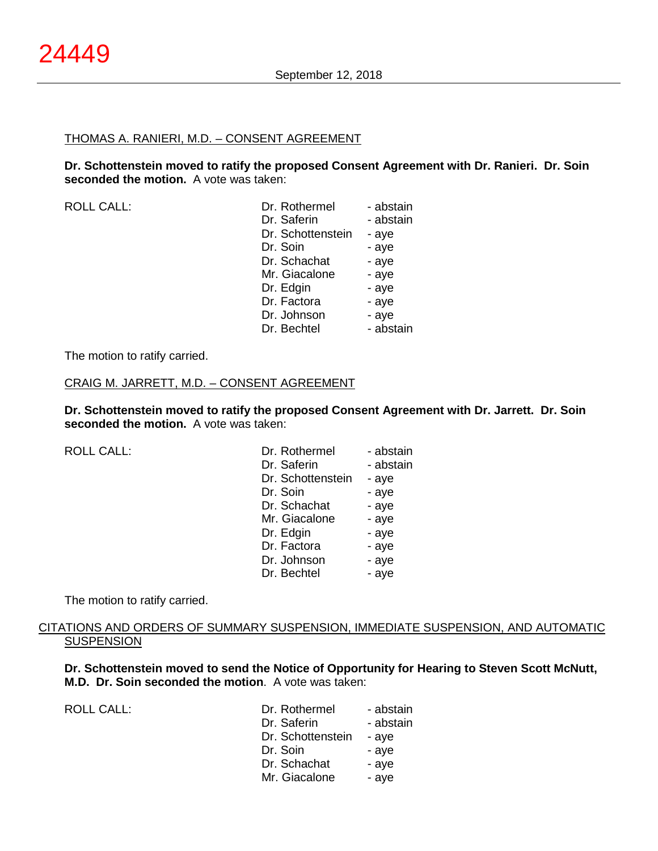# THOMAS A. RANIERI, M.D. – CONSENT AGREEMENT

**Dr. Schottenstein moved to ratify the proposed Consent Agreement with Dr. Ranieri. Dr. Soin seconded the motion.** A vote was taken:

ROLL CALL:

| Dr. Rothermel     | - abstain |
|-------------------|-----------|
| Dr. Saferin       | - abstain |
| Dr. Schottenstein | - aye     |
| Dr. Soin          | - aye     |
| Dr. Schachat      | - aye     |
| Mr. Giacalone     | - aye     |
| Dr. Edgin         | - aye     |
| Dr. Factora       | - aye     |
| Dr. Johnson       | - aye     |
| Dr. Bechtel       | - abstain |

The motion to ratify carried.

#### CRAIG M. JARRETT, M.D. – CONSENT AGREEMENT

**Dr. Schottenstein moved to ratify the proposed Consent Agreement with Dr. Jarrett. Dr. Soin seconded the motion.** A vote was taken:

| <b>ROLL CALL:</b> | Dr. Rothermel     | - abstain |
|-------------------|-------------------|-----------|
|                   | Dr. Saferin       | - abstain |
|                   | Dr. Schottenstein | - aye     |
|                   | Dr. Soin          | - aye     |
|                   | Dr. Schachat      | - aye     |
|                   | Mr. Giacalone     | - aye     |
|                   | Dr. Edgin         | - aye     |
|                   | Dr. Factora       | - aye     |
|                   | Dr. Johnson       | - aye     |
|                   | Dr. Bechtel       | - aye     |
|                   |                   |           |

The motion to ratify carried.

## CITATIONS AND ORDERS OF SUMMARY SUSPENSION, IMMEDIATE SUSPENSION, AND AUTOMATIC **SUSPENSION**

**Dr. Schottenstein moved to send the Notice of Opportunity for Hearing to Steven Scott McNutt, M.D. Dr. Soin seconded the motion**. A vote was taken:

ROLL CALL:

| Dr. Rothermel     | - abstain |
|-------------------|-----------|
| Dr. Saferin       | - abstain |
| Dr. Schottenstein | - aye     |
| Dr. Soin          | - aye     |
| Dr. Schachat      | - aye     |
| Mr. Giacalone     | - aye     |
|                   |           |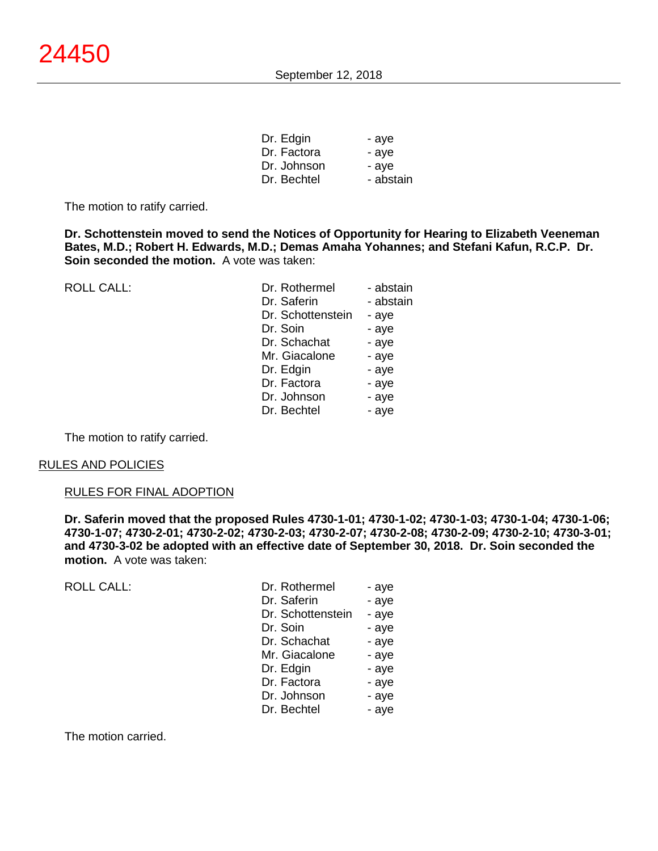| - aye     |
|-----------|
| - aye     |
| - ave     |
| - abstain |
|           |

The motion to ratify carried.

**Dr. Schottenstein moved to send the Notices of Opportunity for Hearing to Elizabeth Veeneman Bates, M.D.; Robert H. Edwards, M.D.; Demas Amaha Yohannes; and Stefani Kafun, R.C.P. Dr. Soin seconded the motion.** A vote was taken:

| <b>ROLL CALL:</b> | Dr. Rothermel<br>Dr. Saferin<br>Dr. Schottenstein | - abstain<br>- abstain<br>- aye |
|-------------------|---------------------------------------------------|---------------------------------|
|                   | Dr. Soin                                          | - aye                           |
|                   | Dr. Schachat                                      | - aye                           |
|                   | Mr. Giacalone                                     | - aye                           |
|                   | Dr. Edgin                                         | - aye                           |
|                   | Dr. Factora                                       | - aye                           |
|                   | Dr. Johnson                                       | - aye                           |
|                   | Dr. Bechtel                                       | - aye                           |

The motion to ratify carried.

#### RULES AND POLICIES

#### RULES FOR FINAL ADOPTION

**Dr. Saferin moved that the proposed Rules 4730-1-01; 4730-1-02; 4730-1-03; 4730-1-04; 4730-1-06; 4730-1-07; 4730-2-01; 4730-2-02; 4730-2-03; 4730-2-07; 4730-2-08; 4730-2-09; 4730-2-10; 4730-3-01; and 4730-3-02 be adopted with an effective date of September 30, 2018. Dr. Soin seconded the motion.** A vote was taken:

ROLL CALL: Dr. Rothermel - and - and - and - and - and - and - and - and - and - and - ayer - and - and - ayer - and - and - and - and - and - and - and - and - and - and - and - and - and - and - and - and - and - and - a

| Dr. Rothermel     | - aye |
|-------------------|-------|
| Dr. Saferin       | - aye |
| Dr. Schottenstein | - aye |
| Dr. Soin          | - aye |
| Dr. Schachat      | - aye |
| Mr. Giacalone     | - aye |
| Dr. Edgin         | - aye |
| Dr. Factora       | - aye |
| Dr. Johnson       | - aye |
| Dr. Bechtel       | - aye |
|                   |       |

The motion carried.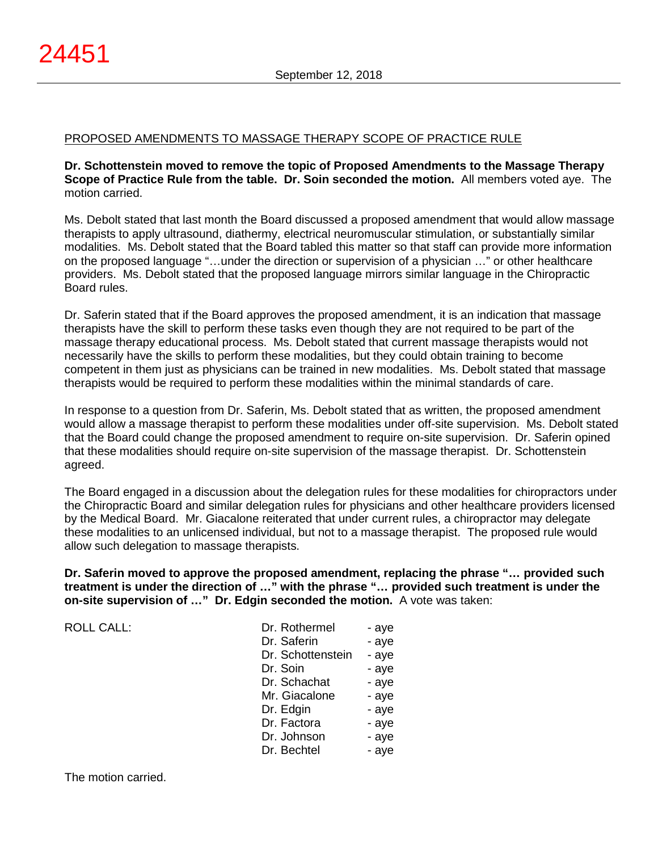## PROPOSED AMENDMENTS TO MASSAGE THERAPY SCOPE OF PRACTICE RULE

**Dr. Schottenstein moved to remove the topic of Proposed Amendments to the Massage Therapy Scope of Practice Rule from the table. Dr. Soin seconded the motion.** All members voted aye. The motion carried.

Ms. Debolt stated that last month the Board discussed a proposed amendment that would allow massage therapists to apply ultrasound, diathermy, electrical neuromuscular stimulation, or substantially similar modalities. Ms. Debolt stated that the Board tabled this matter so that staff can provide more information on the proposed language "…under the direction or supervision of a physician …" or other healthcare providers. Ms. Debolt stated that the proposed language mirrors similar language in the Chiropractic Board rules.

Dr. Saferin stated that if the Board approves the proposed amendment, it is an indication that massage therapists have the skill to perform these tasks even though they are not required to be part of the massage therapy educational process. Ms. Debolt stated that current massage therapists would not necessarily have the skills to perform these modalities, but they could obtain training to become competent in them just as physicians can be trained in new modalities. Ms. Debolt stated that massage therapists would be required to perform these modalities within the minimal standards of care.

In response to a question from Dr. Saferin, Ms. Debolt stated that as written, the proposed amendment would allow a massage therapist to perform these modalities under off-site supervision. Ms. Debolt stated that the Board could change the proposed amendment to require on-site supervision. Dr. Saferin opined that these modalities should require on-site supervision of the massage therapist. Dr. Schottenstein agreed.

The Board engaged in a discussion about the delegation rules for these modalities for chiropractors under the Chiropractic Board and similar delegation rules for physicians and other healthcare providers licensed by the Medical Board. Mr. Giacalone reiterated that under current rules, a chiropractor may delegate these modalities to an unlicensed individual, but not to a massage therapist. The proposed rule would allow such delegation to massage therapists.

**Dr. Saferin moved to approve the proposed amendment, replacing the phrase "… provided such treatment is under the direction of …" with the phrase "… provided such treatment is under the on-site supervision of …" Dr. Edgin seconded the motion.** A vote was taken:

ROLL CALL:

| Dr. Rothermel     | - aye |
|-------------------|-------|
| Dr. Saferin       | - aye |
| Dr. Schottenstein | - aye |
| Dr. Soin          | - aye |
| Dr. Schachat      | - aye |
| Mr. Giacalone     | - aye |
| Dr. Edgin         | - aye |
| Dr. Factora       | - aye |
| Dr. Johnson       | - aye |
| Dr. Bechtel       | - ave |

The motion carried.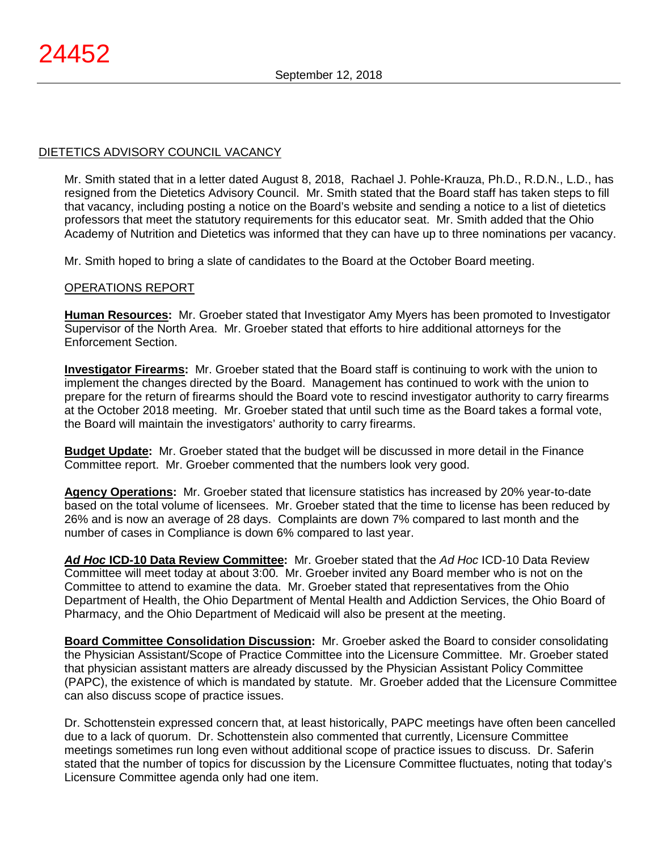# DIETETICS ADVISORY COUNCIL VACANCY

Mr. Smith stated that in a letter dated August 8, 2018, Rachael J. Pohle-Krauza, Ph.D., R.D.N., L.D., has resigned from the Dietetics Advisory Council. Mr. Smith stated that the Board staff has taken steps to fill that vacancy, including posting a notice on the Board's website and sending a notice to a list of dietetics professors that meet the statutory requirements for this educator seat. Mr. Smith added that the Ohio Academy of Nutrition and Dietetics was informed that they can have up to three nominations per vacancy.

Mr. Smith hoped to bring a slate of candidates to the Board at the October Board meeting.

# OPERATIONS REPORT

**Human Resources:** Mr. Groeber stated that Investigator Amy Myers has been promoted to Investigator Supervisor of the North Area. Mr. Groeber stated that efforts to hire additional attorneys for the Enforcement Section.

**Investigator Firearms:** Mr. Groeber stated that the Board staff is continuing to work with the union to implement the changes directed by the Board. Management has continued to work with the union to prepare for the return of firearms should the Board vote to rescind investigator authority to carry firearms at the October 2018 meeting. Mr. Groeber stated that until such time as the Board takes a formal vote, the Board will maintain the investigators' authority to carry firearms.

**Budget Update:** Mr. Groeber stated that the budget will be discussed in more detail in the Finance Committee report. Mr. Groeber commented that the numbers look very good.

**Agency Operations:** Mr. Groeber stated that licensure statistics has increased by 20% year-to-date based on the total volume of licensees. Mr. Groeber stated that the time to license has been reduced by 26% and is now an average of 28 days. Complaints are down 7% compared to last month and the number of cases in Compliance is down 6% compared to last year.

*Ad Hoc* **ICD-10 Data Review Committee:** Mr. Groeber stated that the *Ad Hoc* ICD-10 Data Review Committee will meet today at about 3:00. Mr. Groeber invited any Board member who is not on the Committee to attend to examine the data. Mr. Groeber stated that representatives from the Ohio Department of Health, the Ohio Department of Mental Health and Addiction Services, the Ohio Board of Pharmacy, and the Ohio Department of Medicaid will also be present at the meeting.

**Board Committee Consolidation Discussion:** Mr. Groeber asked the Board to consider consolidating the Physician Assistant/Scope of Practice Committee into the Licensure Committee. Mr. Groeber stated that physician assistant matters are already discussed by the Physician Assistant Policy Committee (PAPC), the existence of which is mandated by statute. Mr. Groeber added that the Licensure Committee can also discuss scope of practice issues.

Dr. Schottenstein expressed concern that, at least historically, PAPC meetings have often been cancelled due to a lack of quorum. Dr. Schottenstein also commented that currently, Licensure Committee meetings sometimes run long even without additional scope of practice issues to discuss. Dr. Saferin stated that the number of topics for discussion by the Licensure Committee fluctuates, noting that today's Licensure Committee agenda only had one item.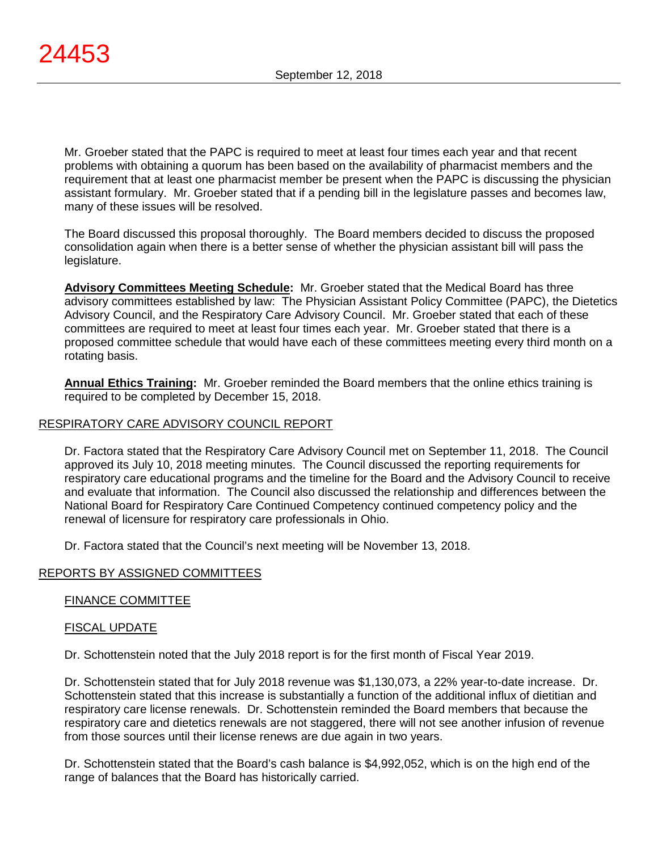Mr. Groeber stated that the PAPC is required to meet at least four times each year and that recent problems with obtaining a quorum has been based on the availability of pharmacist members and the requirement that at least one pharmacist member be present when the PAPC is discussing the physician assistant formulary. Mr. Groeber stated that if a pending bill in the legislature passes and becomes law, many of these issues will be resolved.

The Board discussed this proposal thoroughly. The Board members decided to discuss the proposed consolidation again when there is a better sense of whether the physician assistant bill will pass the legislature.

**Advisory Committees Meeting Schedule:** Mr. Groeber stated that the Medical Board has three advisory committees established by law: The Physician Assistant Policy Committee (PAPC), the Dietetics Advisory Council, and the Respiratory Care Advisory Council. Mr. Groeber stated that each of these committees are required to meet at least four times each year. Mr. Groeber stated that there is a proposed committee schedule that would have each of these committees meeting every third month on a rotating basis.

**Annual Ethics Training:** Mr. Groeber reminded the Board members that the online ethics training is required to be completed by December 15, 2018.

# RESPIRATORY CARE ADVISORY COUNCIL REPORT

Dr. Factora stated that the Respiratory Care Advisory Council met on September 11, 2018. The Council approved its July 10, 2018 meeting minutes. The Council discussed the reporting requirements for respiratory care educational programs and the timeline for the Board and the Advisory Council to receive and evaluate that information. The Council also discussed the relationship and differences between the National Board for Respiratory Care Continued Competency continued competency policy and the renewal of licensure for respiratory care professionals in Ohio.

Dr. Factora stated that the Council's next meeting will be November 13, 2018.

#### REPORTS BY ASSIGNED COMMITTEES

#### FINANCE COMMITTEE

#### FISCAL UPDATE

Dr. Schottenstein noted that the July 2018 report is for the first month of Fiscal Year 2019.

Dr. Schottenstein stated that for July 2018 revenue was \$1,130,073, a 22% year-to-date increase. Dr. Schottenstein stated that this increase is substantially a function of the additional influx of dietitian and respiratory care license renewals. Dr. Schottenstein reminded the Board members that because the respiratory care and dietetics renewals are not staggered, there will not see another infusion of revenue from those sources until their license renews are due again in two years.

Dr. Schottenstein stated that the Board's cash balance is \$4,992,052, which is on the high end of the range of balances that the Board has historically carried.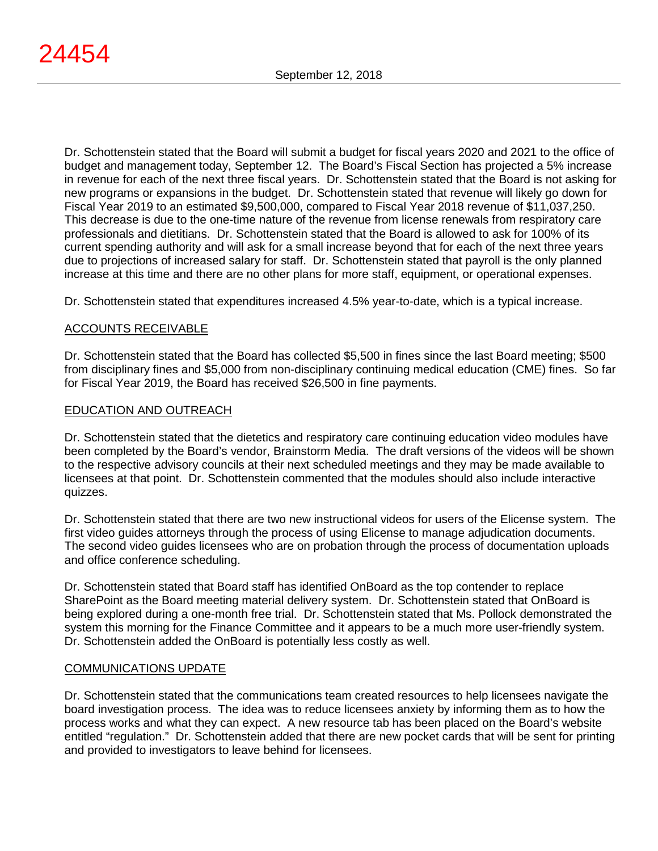Dr. Schottenstein stated that the Board will submit a budget for fiscal years 2020 and 2021 to the office of budget and management today, September 12. The Board's Fiscal Section has projected a 5% increase in revenue for each of the next three fiscal years. Dr. Schottenstein stated that the Board is not asking for new programs or expansions in the budget. Dr. Schottenstein stated that revenue will likely go down for Fiscal Year 2019 to an estimated \$9,500,000, compared to Fiscal Year 2018 revenue of \$11,037,250. This decrease is due to the one-time nature of the revenue from license renewals from respiratory care professionals and dietitians. Dr. Schottenstein stated that the Board is allowed to ask for 100% of its current spending authority and will ask for a small increase beyond that for each of the next three years due to projections of increased salary for staff. Dr. Schottenstein stated that payroll is the only planned increase at this time and there are no other plans for more staff, equipment, or operational expenses.

Dr. Schottenstein stated that expenditures increased 4.5% year-to-date, which is a typical increase.

## ACCOUNTS RECEIVABLE

Dr. Schottenstein stated that the Board has collected \$5,500 in fines since the last Board meeting; \$500 from disciplinary fines and \$5,000 from non-disciplinary continuing medical education (CME) fines. So far for Fiscal Year 2019, the Board has received \$26,500 in fine payments.

## EDUCATION AND OUTREACH

Dr. Schottenstein stated that the dietetics and respiratory care continuing education video modules have been completed by the Board's vendor, Brainstorm Media. The draft versions of the videos will be shown to the respective advisory councils at their next scheduled meetings and they may be made available to licensees at that point. Dr. Schottenstein commented that the modules should also include interactive quizzes.

Dr. Schottenstein stated that there are two new instructional videos for users of the Elicense system. The first video guides attorneys through the process of using Elicense to manage adjudication documents. The second video guides licensees who are on probation through the process of documentation uploads and office conference scheduling.

Dr. Schottenstein stated that Board staff has identified OnBoard as the top contender to replace SharePoint as the Board meeting material delivery system. Dr. Schottenstein stated that OnBoard is being explored during a one-month free trial. Dr. Schottenstein stated that Ms. Pollock demonstrated the system this morning for the Finance Committee and it appears to be a much more user-friendly system. Dr. Schottenstein added the OnBoard is potentially less costly as well.

# COMMUNICATIONS UPDATE

Dr. Schottenstein stated that the communications team created resources to help licensees navigate the board investigation process. The idea was to reduce licensees anxiety by informing them as to how the process works and what they can expect. A new resource tab has been placed on the Board's website entitled "regulation." Dr. Schottenstein added that there are new pocket cards that will be sent for printing and provided to investigators to leave behind for licensees.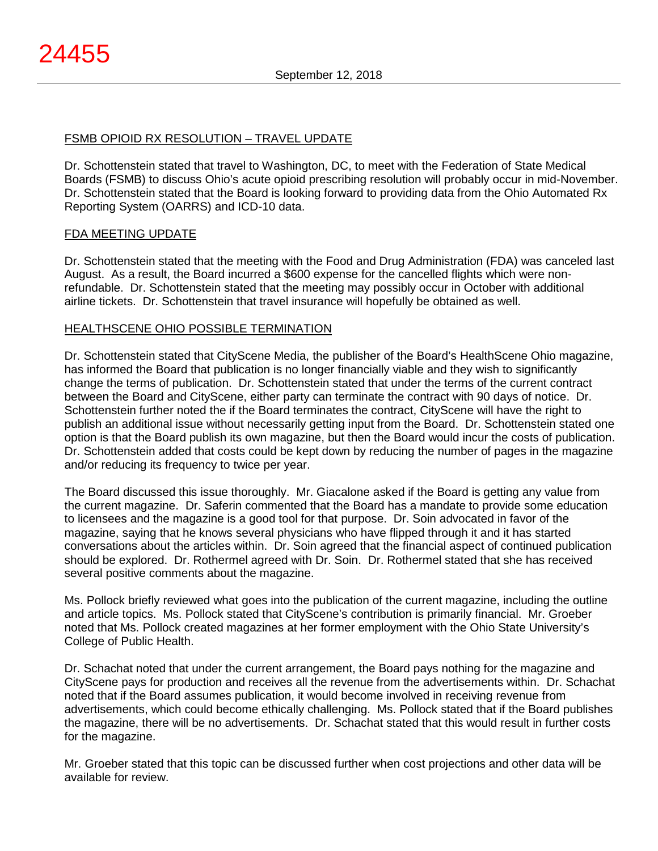# FSMB OPIOID RX RESOLUTION – TRAVEL UPDATE

Dr. Schottenstein stated that travel to Washington, DC, to meet with the Federation of State Medical Boards (FSMB) to discuss Ohio's acute opioid prescribing resolution will probably occur in mid-November. Dr. Schottenstein stated that the Board is looking forward to providing data from the Ohio Automated Rx Reporting System (OARRS) and ICD-10 data.

## FDA MEETING UPDATE

Dr. Schottenstein stated that the meeting with the Food and Drug Administration (FDA) was canceled last August. As a result, the Board incurred a \$600 expense for the cancelled flights which were nonrefundable. Dr. Schottenstein stated that the meeting may possibly occur in October with additional airline tickets. Dr. Schottenstein that travel insurance will hopefully be obtained as well.

## HEALTHSCENE OHIO POSSIBLE TERMINATION

Dr. Schottenstein stated that CityScene Media, the publisher of the Board's HealthScene Ohio magazine, has informed the Board that publication is no longer financially viable and they wish to significantly change the terms of publication. Dr. Schottenstein stated that under the terms of the current contract between the Board and CityScene, either party can terminate the contract with 90 days of notice. Dr. Schottenstein further noted the if the Board terminates the contract, CityScene will have the right to publish an additional issue without necessarily getting input from the Board. Dr. Schottenstein stated one option is that the Board publish its own magazine, but then the Board would incur the costs of publication. Dr. Schottenstein added that costs could be kept down by reducing the number of pages in the magazine and/or reducing its frequency to twice per year.

The Board discussed this issue thoroughly. Mr. Giacalone asked if the Board is getting any value from the current magazine. Dr. Saferin commented that the Board has a mandate to provide some education to licensees and the magazine is a good tool for that purpose. Dr. Soin advocated in favor of the magazine, saying that he knows several physicians who have flipped through it and it has started conversations about the articles within. Dr. Soin agreed that the financial aspect of continued publication should be explored. Dr. Rothermel agreed with Dr. Soin. Dr. Rothermel stated that she has received several positive comments about the magazine.

Ms. Pollock briefly reviewed what goes into the publication of the current magazine, including the outline and article topics. Ms. Pollock stated that CityScene's contribution is primarily financial. Mr. Groeber noted that Ms. Pollock created magazines at her former employment with the Ohio State University's College of Public Health.

Dr. Schachat noted that under the current arrangement, the Board pays nothing for the magazine and CityScene pays for production and receives all the revenue from the advertisements within. Dr. Schachat noted that if the Board assumes publication, it would become involved in receiving revenue from advertisements, which could become ethically challenging. Ms. Pollock stated that if the Board publishes the magazine, there will be no advertisements. Dr. Schachat stated that this would result in further costs for the magazine.

Mr. Groeber stated that this topic can be discussed further when cost projections and other data will be available for review.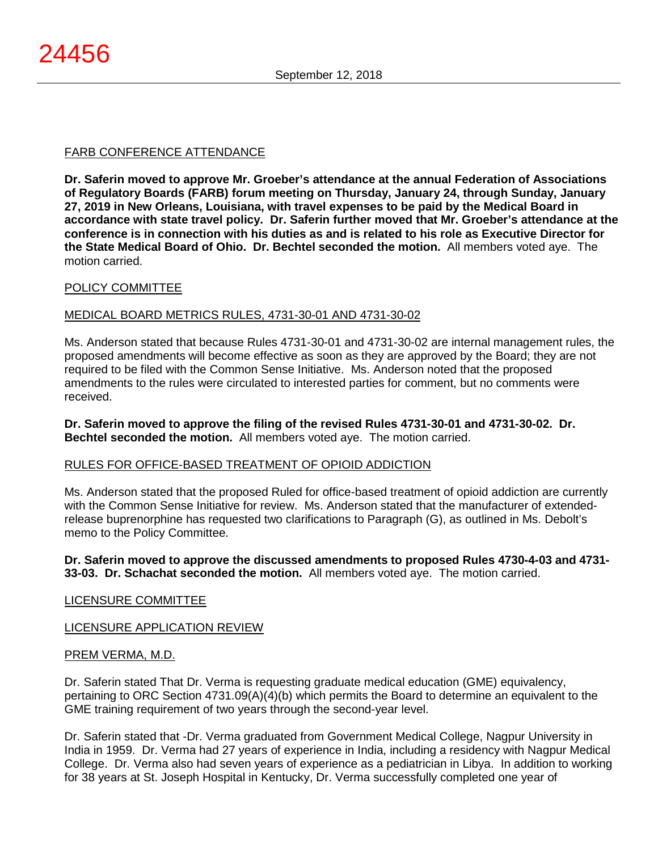# FARB CONFERENCE ATTENDANCE

**Dr. Saferin moved to approve Mr. Groeber's attendance at the annual Federation of Associations of Regulatory Boards (FARB) forum meeting on Thursday, January 24, through Sunday, January 27, 2019 in New Orleans, Louisiana, with travel expenses to be paid by the Medical Board in accordance with state travel policy. Dr. Saferin further moved that Mr. Groeber's attendance at the conference is in connection with his duties as and is related to his role as Executive Director for the State Medical Board of Ohio. Dr. Bechtel seconded the motion.** All members voted aye. The motion carried.

# POLICY COMMITTEE

## MEDICAL BOARD METRICS RULES, 4731-30-01 AND 4731-30-02

Ms. Anderson stated that because Rules 4731-30-01 and 4731-30-02 are internal management rules, the proposed amendments will become effective as soon as they are approved by the Board; they are not required to be filed with the Common Sense Initiative. Ms. Anderson noted that the proposed amendments to the rules were circulated to interested parties for comment, but no comments were received.

**Dr. Saferin moved to approve the filing of the revised Rules 4731-30-01 and 4731-30-02. Dr. Bechtel seconded the motion.** All members voted aye. The motion carried.

# RULES FOR OFFICE-BASED TREATMENT OF OPIOID ADDICTION

Ms. Anderson stated that the proposed Ruled for office-based treatment of opioid addiction are currently with the Common Sense Initiative for review. Ms. Anderson stated that the manufacturer of extendedrelease buprenorphine has requested two clarifications to Paragraph (G), as outlined in Ms. Debolt's memo to the Policy Committee.

**Dr. Saferin moved to approve the discussed amendments to proposed Rules 4730-4-03 and 4731- 33-03. Dr. Schachat seconded the motion.** All members voted aye. The motion carried.

# LICENSURE COMMITTEE

# LICENSURE APPLICATION REVIEW

#### PREM VERMA, M.D.

Dr. Saferin stated That Dr. Verma is requesting graduate medical education (GME) equivalency, pertaining to ORC Section 4731.09(A)(4)(b) which permits the Board to determine an equivalent to the GME training requirement of two years through the second-year level.

Dr. Saferin stated that -Dr. Verma graduated from Government Medical College, Nagpur University in India in 1959. Dr. Verma had 27 years of experience in India, including a residency with Nagpur Medical College. Dr. Verma also had seven years of experience as a pediatrician in Libya. In addition to working for 38 years at St. Joseph Hospital in Kentucky, Dr. Verma successfully completed one year of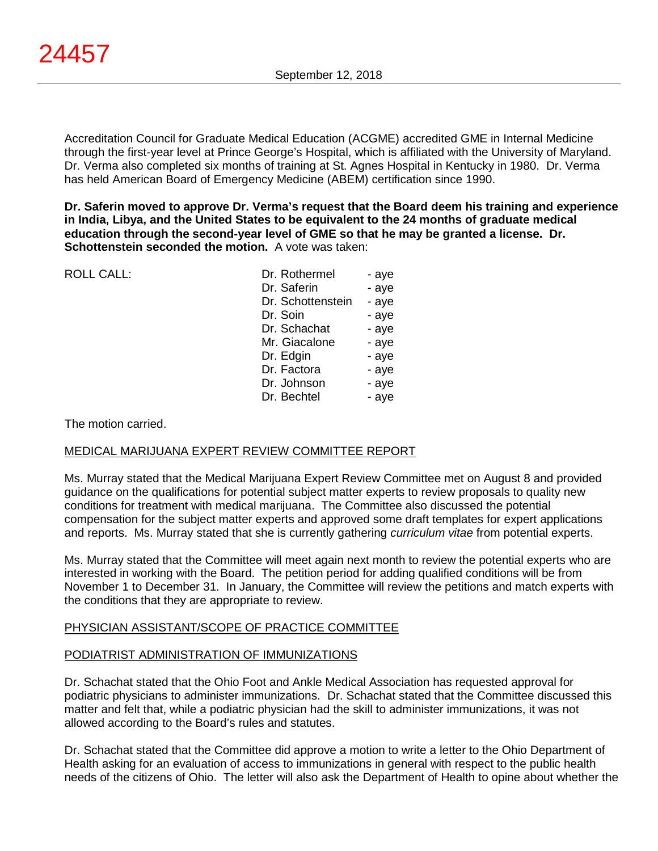Accreditation Council for Graduate Medical Education (ACGME) accredited GME in Internal Medicine through the first-year level at Prince George's Hospital, which is affiliated with the University of Maryland. Dr. Verma also completed six months of training at St. Agnes Hospital in Kentucky in 1980. Dr. Verma has held American Board of Emergency Medicine (ABEM) certification since 1990.

**Dr. Saferin moved to approve Dr. Verma's request that the Board deem his training and experience in India, Libya, and the United States to be equivalent to the 24 months of graduate medical education through the second-year level of GME so that he may be granted a license. Dr. Schottenstein seconded the motion.** A vote was taken:

| <b>ROLL CALL:</b> | Dr. Rothermel     | - aye |
|-------------------|-------------------|-------|
|                   | Dr. Saferin       | - aye |
|                   | Dr. Schottenstein | - aye |
|                   | Dr. Soin          | - aye |
|                   | Dr. Schachat      | - aye |
|                   | Mr. Giacalone     | - aye |
|                   | Dr. Edgin         | - aye |
|                   | Dr. Factora       | - aye |
|                   | Dr. Johnson       | - aye |
|                   | Dr. Bechtel       | - aye |
|                   |                   |       |
|                   |                   |       |

#### The motion carried.

#### MEDICAL MARIJUANA EXPERT REVIEW COMMITTEE REPORT

Ms. Murray stated that the Medical Marijuana Expert Review Committee met on August 8 and provided guidance on the qualifications for potential subject matter experts to review proposals to quality new conditions for treatment with medical marijuana. The Committee also discussed the potential compensation for the subject matter experts and approved some draft templates for expert applications and reports. Ms. Murray stated that she is currently gathering *curriculum vitae* from potential experts.

Ms. Murray stated that the Committee will meet again next month to review the potential experts who are interested in working with the Board. The petition period for adding qualified conditions will be from November 1 to December 31. In January, the Committee will review the petitions and match experts with the conditions that they are appropriate to review.

#### PHYSICIAN ASSISTANT/SCOPE OF PRACTICE COMMITTEE

#### PODIATRIST ADMINISTRATION OF IMMUNIZATIONS

Dr. Schachat stated that the Ohio Foot and Ankle Medical Association has requested approval for podiatric physicians to administer immunizations. Dr. Schachat stated that the Committee discussed this matter and felt that, while a podiatric physician had the skill to administer immunizations, it was not allowed according to the Board's rules and statutes.

Dr. Schachat stated that the Committee did approve a motion to write a letter to the Ohio Department of Health asking for an evaluation of access to immunizations in general with respect to the public health needs of the citizens of Ohio. The letter will also ask the Department of Health to opine about whether the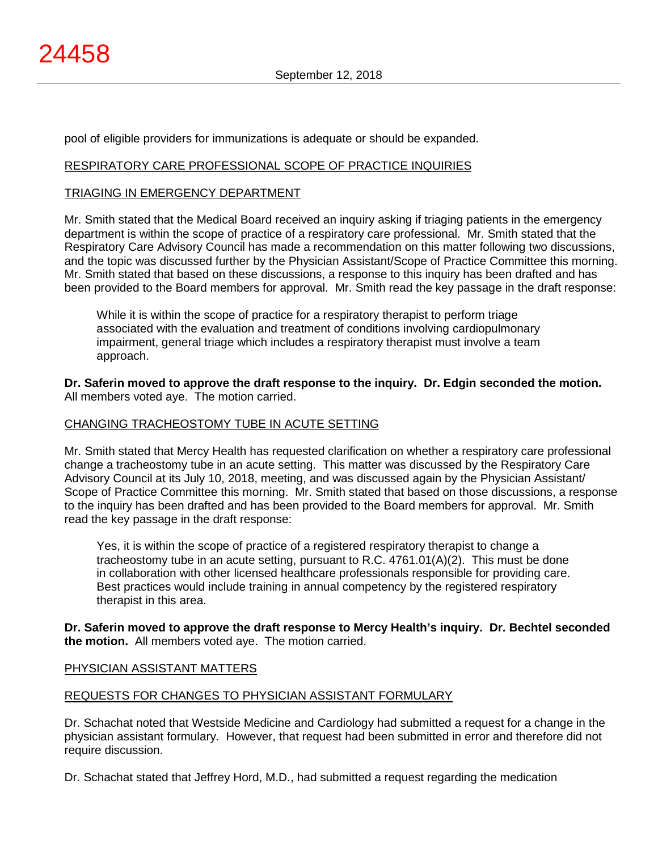pool of eligible providers for immunizations is adequate or should be expanded.

## RESPIRATORY CARE PROFESSIONAL SCOPE OF PRACTICE INQUIRIES

## TRIAGING IN EMERGENCY DEPARTMENT

Mr. Smith stated that the Medical Board received an inquiry asking if triaging patients in the emergency department is within the scope of practice of a respiratory care professional. Mr. Smith stated that the Respiratory Care Advisory Council has made a recommendation on this matter following two discussions, and the topic was discussed further by the Physician Assistant/Scope of Practice Committee this morning. Mr. Smith stated that based on these discussions, a response to this inquiry has been drafted and has been provided to the Board members for approval. Mr. Smith read the key passage in the draft response:

While it is within the scope of practice for a respiratory therapist to perform triage associated with the evaluation and treatment of conditions involving cardiopulmonary impairment, general triage which includes a respiratory therapist must involve a team approach.

**Dr. Saferin moved to approve the draft response to the inquiry. Dr. Edgin seconded the motion.** All members voted aye. The motion carried.

#### CHANGING TRACHEOSTOMY TUBE IN ACUTE SETTING

Mr. Smith stated that Mercy Health has requested clarification on whether a respiratory care professional change a tracheostomy tube in an acute setting. This matter was discussed by the Respiratory Care Advisory Council at its July 10, 2018, meeting, and was discussed again by the Physician Assistant/ Scope of Practice Committee this morning. Mr. Smith stated that based on those discussions, a response to the inquiry has been drafted and has been provided to the Board members for approval. Mr. Smith read the key passage in the draft response:

Yes, it is within the scope of practice of a registered respiratory therapist to change a tracheostomy tube in an acute setting, pursuant to R.C. 4761.01(A)(2). This must be done in collaboration with other licensed healthcare professionals responsible for providing care. Best practices would include training in annual competency by the registered respiratory therapist in this area.

 **Dr. Saferin moved to approve the draft response to Mercy Health's inquiry. Dr. Bechtel seconded the motion.** All members voted aye. The motion carried.

# PHYSICIAN ASSISTANT MATTERS

# REQUESTS FOR CHANGES TO PHYSICIAN ASSISTANT FORMULARY

Dr. Schachat noted that Westside Medicine and Cardiology had submitted a request for a change in the physician assistant formulary. However, that request had been submitted in error and therefore did not require discussion.

Dr. Schachat stated that Jeffrey Hord, M.D., had submitted a request regarding the medication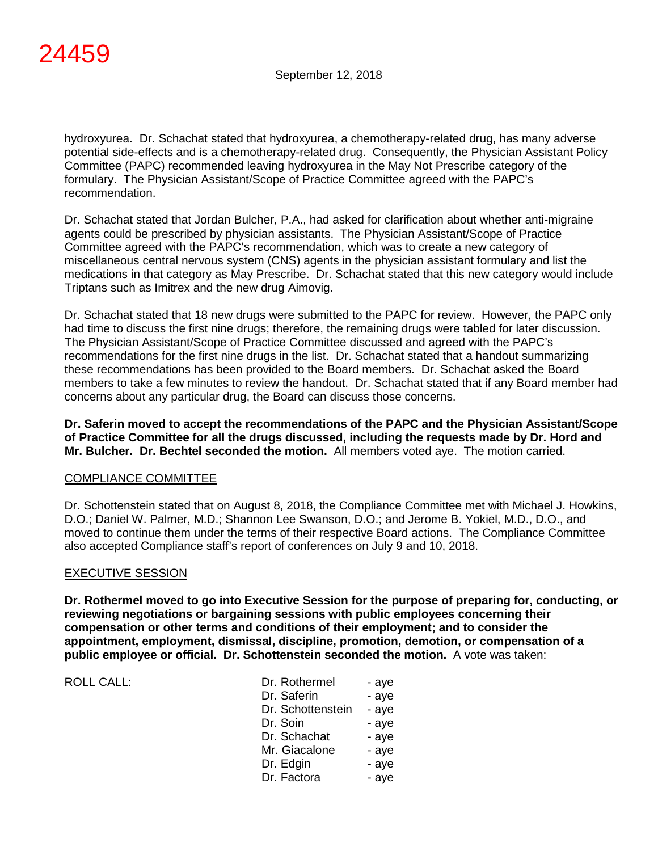hydroxyurea. Dr. Schachat stated that hydroxyurea, a chemotherapy-related drug, has many adverse potential side-effects and is a chemotherapy-related drug. Consequently, the Physician Assistant Policy Committee (PAPC) recommended leaving hydroxyurea in the May Not Prescribe category of the formulary. The Physician Assistant/Scope of Practice Committee agreed with the PAPC's recommendation.

Dr. Schachat stated that Jordan Bulcher, P.A., had asked for clarification about whether anti-migraine agents could be prescribed by physician assistants. The Physician Assistant/Scope of Practice Committee agreed with the PAPC's recommendation, which was to create a new category of miscellaneous central nervous system (CNS) agents in the physician assistant formulary and list the medications in that category as May Prescribe. Dr. Schachat stated that this new category would include Triptans such as Imitrex and the new drug Aimovig.

Dr. Schachat stated that 18 new drugs were submitted to the PAPC for review. However, the PAPC only had time to discuss the first nine drugs; therefore, the remaining drugs were tabled for later discussion. The Physician Assistant/Scope of Practice Committee discussed and agreed with the PAPC's recommendations for the first nine drugs in the list. Dr. Schachat stated that a handout summarizing these recommendations has been provided to the Board members. Dr. Schachat asked the Board members to take a few minutes to review the handout. Dr. Schachat stated that if any Board member had concerns about any particular drug, the Board can discuss those concerns.

**Dr. Saferin moved to accept the recommendations of the PAPC and the Physician Assistant/Scope of Practice Committee for all the drugs discussed, including the requests made by Dr. Hord and Mr. Bulcher. Dr. Bechtel seconded the motion.** All members voted aye. The motion carried.

# COMPLIANCE COMMITTEE

Dr. Schottenstein stated that on August 8, 2018, the Compliance Committee met with Michael J. Howkins, D.O.; Daniel W. Palmer, M.D.; Shannon Lee Swanson, D.O.; and Jerome B. Yokiel, M.D., D.O., and moved to continue them under the terms of their respective Board actions. The Compliance Committee also accepted Compliance staff's report of conferences on July 9 and 10, 2018.

#### EXECUTIVE SESSION

**Dr. Rothermel moved to go into Executive Session for the purpose of preparing for, conducting, or reviewing negotiations or bargaining sessions with public employees concerning their compensation or other terms and conditions of their employment; and to consider the appointment, employment, dismissal, discipline, promotion, demotion, or compensation of a public employee or official. Dr. Schottenstein seconded the motion.** A vote was taken:

ROLL CALL: DR. ROLL CALL:

| Dr. Rothermel     | - aye |
|-------------------|-------|
| Dr. Saferin       | - aye |
| Dr. Schottenstein | - aye |
| Dr. Soin          | - aye |
| Dr. Schachat      | - aye |
| Mr. Giacalone     | - aye |
| Dr. Edgin         | - aye |
| Dr. Factora       | - aye |
|                   |       |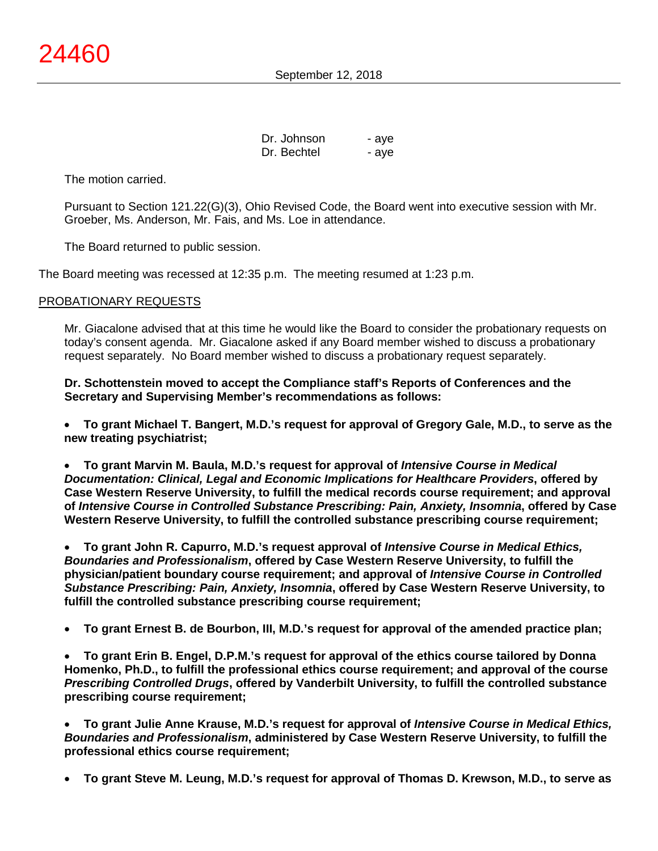| Dr. Johnson | - aye |
|-------------|-------|
| Dr. Bechtel | - aye |

The motion carried.

Pursuant to Section 121.22(G)(3), Ohio Revised Code, the Board went into executive session with Mr. Groeber, Ms. Anderson, Mr. Fais, and Ms. Loe in attendance.

The Board returned to public session.

The Board meeting was recessed at 12:35 p.m. The meeting resumed at 1:23 p.m.

## PROBATIONARY REQUESTS

Mr. Giacalone advised that at this time he would like the Board to consider the probationary requests on today's consent agenda. Mr. Giacalone asked if any Board member wished to discuss a probationary request separately. No Board member wished to discuss a probationary request separately.

**Dr. Schottenstein moved to accept the Compliance staff's Reports of Conferences and the Secretary and Supervising Member's recommendations as follows:**

• **To grant Michael T. Bangert, M.D.'s request for approval of Gregory Gale, M.D., to serve as the new treating psychiatrist;**

• **To grant Marvin M. Baula, M.D.'s request for approval of** *Intensive Course in Medical Documentation: Clinical, Legal and Economic Implications for Healthcare Providers***, offered by Case Western Reserve University, to fulfill the medical records course requirement; and approval of** *Intensive Course in Controlled Substance Prescribing: Pain, Anxiety, Insomnia***, offered by Case Western Reserve University, to fulfill the controlled substance prescribing course requirement;**

• **To grant John R. Capurro, M.D.'s request approval of** *Intensive Course in Medical Ethics, Boundaries and Professionalism***, offered by Case Western Reserve University, to fulfill the physician/patient boundary course requirement; and approval of** *Intensive Course in Controlled Substance Prescribing: Pain, Anxiety, Insomnia***, offered by Case Western Reserve University, to fulfill the controlled substance prescribing course requirement;**

• **To grant Ernest B. de Bourbon, III, M.D.'s request for approval of the amended practice plan;**

• **To grant Erin B. Engel, D.P.M.'s request for approval of the ethics course tailored by Donna Homenko, Ph.D., to fulfill the professional ethics course requirement; and approval of the course**  *Prescribing Controlled Drugs***, offered by Vanderbilt University, to fulfill the controlled substance prescribing course requirement;**

• **To grant Julie Anne Krause, M.D.'s request for approval of** *Intensive Course in Medical Ethics, Boundaries and Professionalism***, administered by Case Western Reserve University, to fulfill the professional ethics course requirement;**

• **To grant Steve M. Leung, M.D.'s request for approval of Thomas D. Krewson, M.D., to serve as**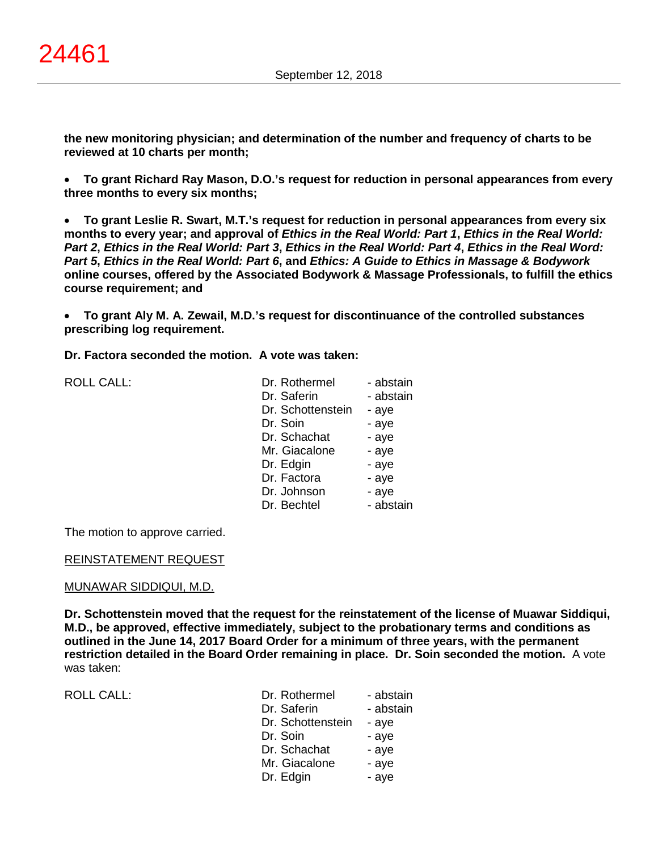**the new monitoring physician; and determination of the number and frequency of charts to be reviewed at 10 charts per month;**

• **To grant Richard Ray Mason, D.O.'s request for reduction in personal appearances from every three months to every six months;**

• **To grant Leslie R. Swart, M.T.'s request for reduction in personal appearances from every six months to every year; and approval of** *Ethics in the Real World: Part 1***,** *Ethics in the Real World: Part 2***,** *Ethics in the Real World: Part 3***,** *Ethics in the Real World: Part 4***,** *Ethics in the Real Word: Part 5***,** *Ethics in the Real World: Part 6***, and** *Ethics: A Guide to Ethics in Massage & Bodywork* **online courses, offered by the Associated Bodywork & Massage Professionals, to fulfill the ethics course requirement; and**

• **To grant Aly M. A. Zewail, M.D.'s request for discontinuance of the controlled substances prescribing log requirement.**

**Dr. Factora seconded the motion. A vote was taken:**

ROLL CALL:

| Dr. Rothermel     | - abstain |
|-------------------|-----------|
| Dr. Saferin       | - abstain |
| Dr. Schottenstein | - aye     |
| Dr. Soin          | - aye     |
| Dr. Schachat      | - aye     |
| Mr. Giacalone     | - aye     |
| Dr. Edgin         | - aye     |
| Dr. Factora       | - aye     |
| Dr. Johnson       | - aye     |
| Dr. Bechtel       | - abstain |

The motion to approve carried.

#### REINSTATEMENT REQUEST

#### MUNAWAR SIDDIQUI, M.D.

**Dr. Schottenstein moved that the request for the reinstatement of the license of Muawar Siddiqui, M.D., be approved, effective immediately, subject to the probationary terms and conditions as outlined in the June 14, 2017 Board Order for a minimum of three years, with the permanent restriction detailed in the Board Order remaining in place. Dr. Soin seconded the motion.** A vote was taken:

ROLL CALL: Provide a set of abstract and abstract a set of abstract and abstract a set of abstract a set of abstract  $\Gamma$ 

| Dr. Rothermel     | - abstain |
|-------------------|-----------|
| Dr. Saferin       | - abstain |
| Dr. Schottenstein | - aye     |
| Dr. Soin          | - aye     |
| Dr. Schachat      | - aye     |
| Mr. Giacalone     | - aye     |
| Dr. Edgin         | - aye     |
|                   |           |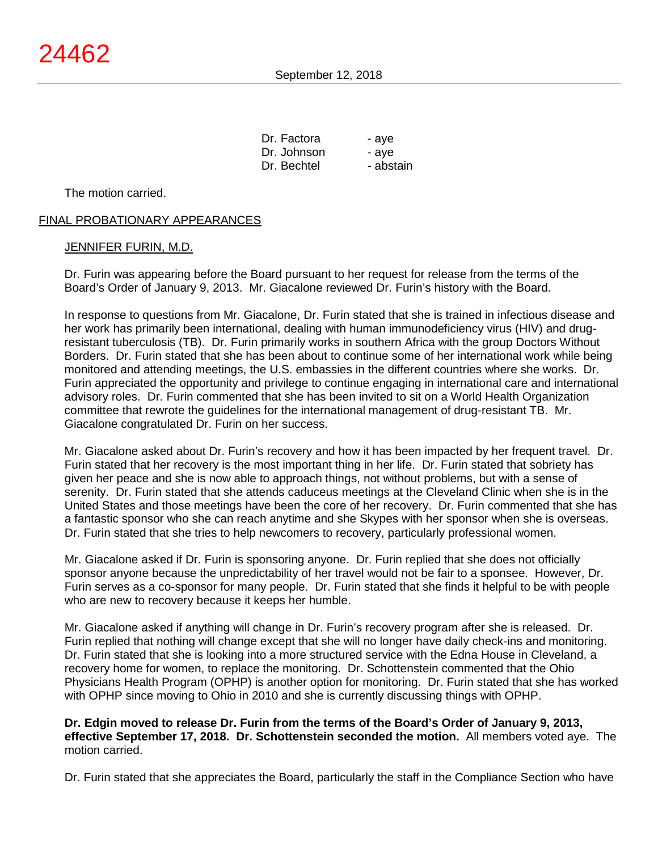| - aye     |
|-----------|
| - ave     |
| - abstain |
|           |

The motion carried.

## FINAL PROBATIONARY APPEARANCES

## JENNIFER FURIN, M.D.

Dr. Furin was appearing before the Board pursuant to her request for release from the terms of the Board's Order of January 9, 2013. Mr. Giacalone reviewed Dr. Furin's history with the Board.

In response to questions from Mr. Giacalone, Dr. Furin stated that she is trained in infectious disease and her work has primarily been international, dealing with human immunodeficiency virus (HIV) and drugresistant tuberculosis (TB). Dr. Furin primarily works in southern Africa with the group Doctors Without Borders. Dr. Furin stated that she has been about to continue some of her international work while being monitored and attending meetings, the U.S. embassies in the different countries where she works. Dr. Furin appreciated the opportunity and privilege to continue engaging in international care and international advisory roles. Dr. Furin commented that she has been invited to sit on a World Health Organization committee that rewrote the guidelines for the international management of drug-resistant TB. Mr. Giacalone congratulated Dr. Furin on her success.

Mr. Giacalone asked about Dr. Furin's recovery and how it has been impacted by her frequent travel. Dr. Furin stated that her recovery is the most important thing in her life. Dr. Furin stated that sobriety has given her peace and she is now able to approach things, not without problems, but with a sense of serenity. Dr. Furin stated that she attends caduceus meetings at the Cleveland Clinic when she is in the United States and those meetings have been the core of her recovery. Dr. Furin commented that she has a fantastic sponsor who she can reach anytime and she Skypes with her sponsor when she is overseas. Dr. Furin stated that she tries to help newcomers to recovery, particularly professional women.

Mr. Giacalone asked if Dr. Furin is sponsoring anyone. Dr. Furin replied that she does not officially sponsor anyone because the unpredictability of her travel would not be fair to a sponsee. However, Dr. Furin serves as a co-sponsor for many people. Dr. Furin stated that she finds it helpful to be with people who are new to recovery because it keeps her humble.

Mr. Giacalone asked if anything will change in Dr. Furin's recovery program after she is released. Dr. Furin replied that nothing will change except that she will no longer have daily check-ins and monitoring. Dr. Furin stated that she is looking into a more structured service with the Edna House in Cleveland, a recovery home for women, to replace the monitoring. Dr. Schottenstein commented that the Ohio Physicians Health Program (OPHP) is another option for monitoring. Dr. Furin stated that she has worked with OPHP since moving to Ohio in 2010 and she is currently discussing things with OPHP.

**Dr. Edgin moved to release Dr. Furin from the terms of the Board's Order of January 9, 2013, effective September 17, 2018. Dr. Schottenstein seconded the motion.** All members voted aye. The motion carried.

Dr. Furin stated that she appreciates the Board, particularly the staff in the Compliance Section who have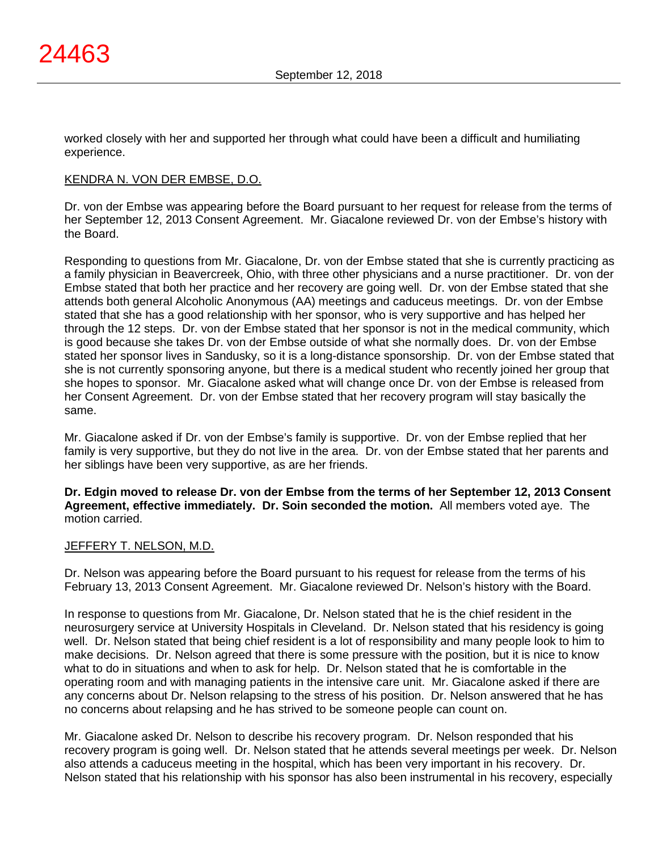worked closely with her and supported her through what could have been a difficult and humiliating experience.

## KENDRA N. VON DER EMBSE, D.O.

Dr. von der Embse was appearing before the Board pursuant to her request for release from the terms of her September 12, 2013 Consent Agreement. Mr. Giacalone reviewed Dr. von der Embse's history with the Board.

Responding to questions from Mr. Giacalone, Dr. von der Embse stated that she is currently practicing as a family physician in Beavercreek, Ohio, with three other physicians and a nurse practitioner. Dr. von der Embse stated that both her practice and her recovery are going well. Dr. von der Embse stated that she attends both general Alcoholic Anonymous (AA) meetings and caduceus meetings. Dr. von der Embse stated that she has a good relationship with her sponsor, who is very supportive and has helped her through the 12 steps. Dr. von der Embse stated that her sponsor is not in the medical community, which is good because she takes Dr. von der Embse outside of what she normally does. Dr. von der Embse stated her sponsor lives in Sandusky, so it is a long-distance sponsorship. Dr. von der Embse stated that she is not currently sponsoring anyone, but there is a medical student who recently joined her group that she hopes to sponsor. Mr. Giacalone asked what will change once Dr. von der Embse is released from her Consent Agreement. Dr. von der Embse stated that her recovery program will stay basically the same.

Mr. Giacalone asked if Dr. von der Embse's family is supportive. Dr. von der Embse replied that her family is very supportive, but they do not live in the area. Dr. von der Embse stated that her parents and her siblings have been very supportive, as are her friends.

**Dr. Edgin moved to release Dr. von der Embse from the terms of her September 12, 2013 Consent Agreement, effective immediately. Dr. Soin seconded the motion.** All members voted aye. The motion carried.

#### JEFFERY T. NELSON, M.D.

Dr. Nelson was appearing before the Board pursuant to his request for release from the terms of his February 13, 2013 Consent Agreement. Mr. Giacalone reviewed Dr. Nelson's history with the Board.

In response to questions from Mr. Giacalone, Dr. Nelson stated that he is the chief resident in the neurosurgery service at University Hospitals in Cleveland. Dr. Nelson stated that his residency is going well. Dr. Nelson stated that being chief resident is a lot of responsibility and many people look to him to make decisions. Dr. Nelson agreed that there is some pressure with the position, but it is nice to know what to do in situations and when to ask for help. Dr. Nelson stated that he is comfortable in the operating room and with managing patients in the intensive care unit. Mr. Giacalone asked if there are any concerns about Dr. Nelson relapsing to the stress of his position. Dr. Nelson answered that he has no concerns about relapsing and he has strived to be someone people can count on.

Mr. Giacalone asked Dr. Nelson to describe his recovery program. Dr. Nelson responded that his recovery program is going well. Dr. Nelson stated that he attends several meetings per week. Dr. Nelson also attends a caduceus meeting in the hospital, which has been very important in his recovery. Dr. Nelson stated that his relationship with his sponsor has also been instrumental in his recovery, especially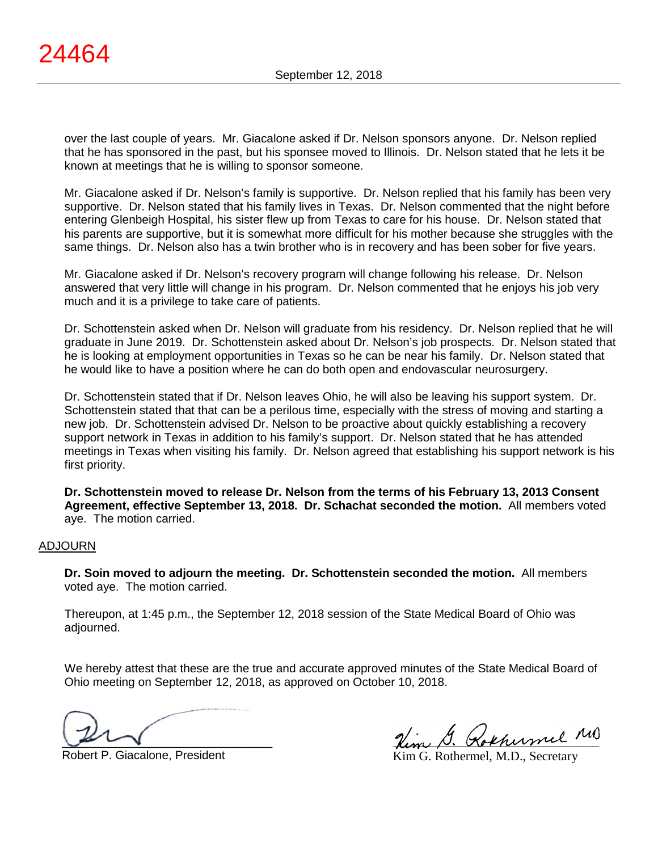over the last couple of years. Mr. Giacalone asked if Dr. Nelson sponsors anyone. Dr. Nelson replied that he has sponsored in the past, but his sponsee moved to Illinois. Dr. Nelson stated that he lets it be known at meetings that he is willing to sponsor someone.

Mr. Giacalone asked if Dr. Nelson's family is supportive. Dr. Nelson replied that his family has been very supportive. Dr. Nelson stated that his family lives in Texas. Dr. Nelson commented that the night before entering Glenbeigh Hospital, his sister flew up from Texas to care for his house. Dr. Nelson stated that his parents are supportive, but it is somewhat more difficult for his mother because she struggles with the same things. Dr. Nelson also has a twin brother who is in recovery and has been sober for five years.

Mr. Giacalone asked if Dr. Nelson's recovery program will change following his release. Dr. Nelson answered that very little will change in his program. Dr. Nelson commented that he enjoys his job very much and it is a privilege to take care of patients.

Dr. Schottenstein asked when Dr. Nelson will graduate from his residency. Dr. Nelson replied that he will graduate in June 2019. Dr. Schottenstein asked about Dr. Nelson's job prospects. Dr. Nelson stated that he is looking at employment opportunities in Texas so he can be near his family. Dr. Nelson stated that he would like to have a position where he can do both open and endovascular neurosurgery.

Dr. Schottenstein stated that if Dr. Nelson leaves Ohio, he will also be leaving his support system. Dr. Schottenstein stated that that can be a perilous time, especially with the stress of moving and starting a new job. Dr. Schottenstein advised Dr. Nelson to be proactive about quickly establishing a recovery support network in Texas in addition to his family's support. Dr. Nelson stated that he has attended meetings in Texas when visiting his family. Dr. Nelson agreed that establishing his support network is his first priority.

**Dr. Schottenstein moved to release Dr. Nelson from the terms of his February 13, 2013 Consent Agreement, effective September 13, 2018. Dr. Schachat seconded the motion.** All members voted aye. The motion carried.

#### ADJOURN

**Dr. Soin moved to adjourn the meeting. Dr. Schottenstein seconded the motion.** All members voted aye. The motion carried.

Thereupon, at 1:45 p.m., the September 12, 2018 session of the State Medical Board of Ohio was adjourned.

We hereby attest that these are the true and accurate approved minutes of the State Medical Board of Ohio meeting on September 12, 2018, as approved on October 10, 2018.

 $\sim$ 

Rem D. Kokhermel

Robert P. Giacalone, President

Kim G. Rothermel, M.D., Secretary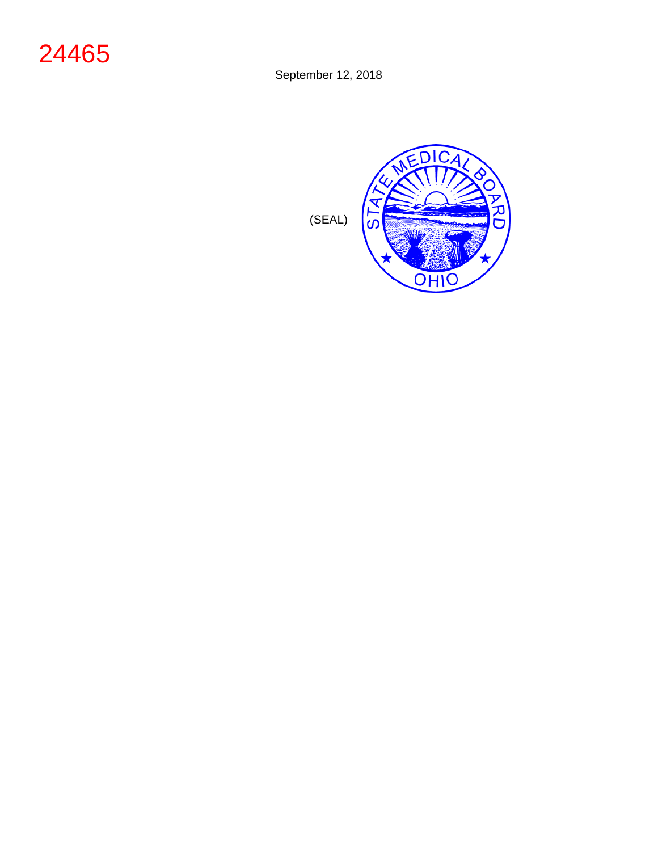

(SEAL)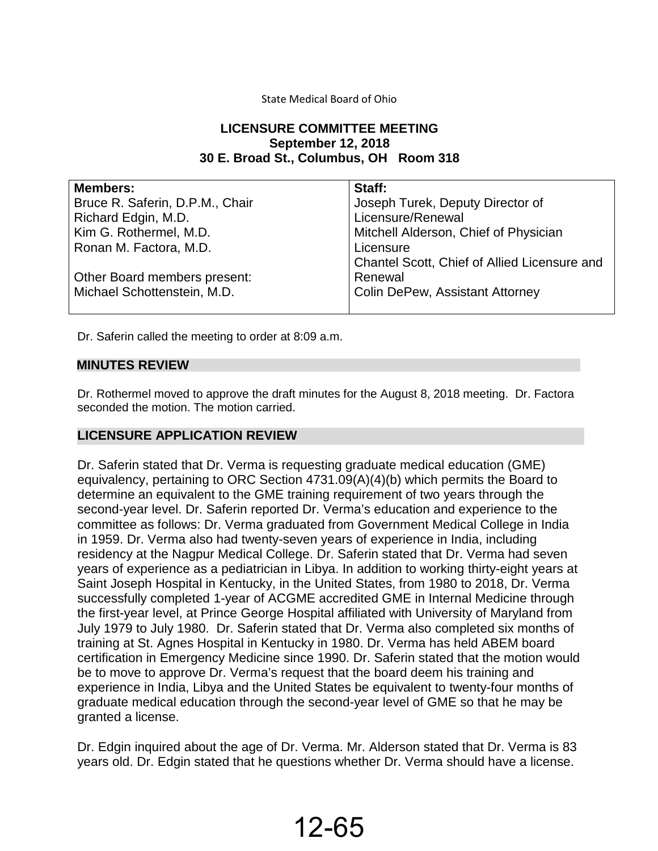## State Medical Board of Ohio

# **LICENSURE COMMITTEE MEETING September 12, 2018 30 E. Broad St., Columbus, OH Room 318**

| <b>Members:</b>                 | Staff:                                       |
|---------------------------------|----------------------------------------------|
| Bruce R. Saferin, D.P.M., Chair | Joseph Turek, Deputy Director of             |
| Richard Edgin, M.D.             | Licensure/Renewal                            |
| Kim G. Rothermel, M.D.          | Mitchell Alderson, Chief of Physician        |
| Ronan M. Factora, M.D.          | Licensure                                    |
|                                 | Chantel Scott, Chief of Allied Licensure and |
| Other Board members present:    | Renewal                                      |
| Michael Schottenstein, M.D.     | <b>Colin DePew, Assistant Attorney</b>       |
|                                 |                                              |

Dr. Saferin called the meeting to order at 8:09 a.m.

## **MINUTES REVIEW**

Dr. Rothermel moved to approve the draft minutes for the August 8, 2018 meeting. Dr. Factora seconded the motion. The motion carried.

# **LICENSURE APPLICATION REVIEW**

Dr. Saferin stated that Dr. Verma is requesting graduate medical education (GME) equivalency, pertaining to ORC Section 4731.09(A)(4)(b) which permits the Board to determine an equivalent to the GME training requirement of two years through the second-year level. Dr. Saferin reported Dr. Verma's education and experience to the committee as follows: Dr. Verma graduated from Government Medical College in India in 1959. Dr. Verma also had twenty-seven years of experience in India, including residency at the Nagpur Medical College. Dr. Saferin stated that Dr. Verma had seven years of experience as a pediatrician in Libya. In addition to working thirty-eight years at Saint Joseph Hospital in Kentucky, in the United States, from 1980 to 2018, Dr. Verma successfully completed 1-year of ACGME accredited GME in Internal Medicine through the first-year level, at Prince George Hospital affiliated with University of Maryland from July 1979 to July 1980. Dr. Saferin stated that Dr. Verma also completed six months of training at St. Agnes Hospital in Kentucky in 1980. Dr. Verma has held ABEM board certification in Emergency Medicine since 1990. Dr. Saferin stated that the motion would be to move to approve Dr. Verma's request that the board deem his training and experience in India, Libya and the United States be equivalent to twenty-four months of graduate medical education through the second-year level of GME so that he may be granted a license.

Dr. Edgin inquired about the age of Dr. Verma. Mr. Alderson stated that Dr. Verma is 83 years old. Dr. Edgin stated that he questions whether Dr. Verma should have a license.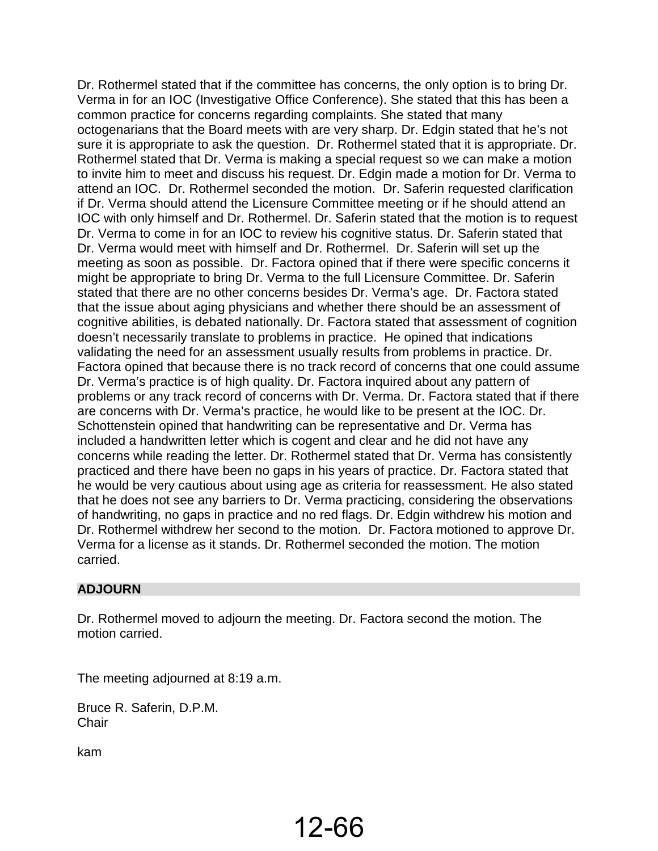Dr. Rothermel stated that if the committee has concerns, the only option is to bring Dr. Verma in for an IOC (Investigative Office Conference). She stated that this has been a common practice for concerns regarding complaints. She stated that many octogenarians that the Board meets with are very sharp. Dr. Edgin stated that he's not sure it is appropriate to ask the question. Dr. Rothermel stated that it is appropriate. Dr. Rothermel stated that Dr. Verma is making a special request so we can make a motion to invite him to meet and discuss his request. Dr. Edgin made a motion for Dr. Verma to attend an IOC. Dr. Rothermel seconded the motion. Dr. Saferin requested clarification if Dr. Verma should attend the Licensure Committee meeting or if he should attend an IOC with only himself and Dr. Rothermel. Dr. Saferin stated that the motion is to request Dr. Verma to come in for an IOC to review his cognitive status. Dr. Saferin stated that Dr. Verma would meet with himself and Dr. Rothermel. Dr. Saferin will set up the meeting as soon as possible. Dr. Factora opined that if there were specific concerns it might be appropriate to bring Dr. Verma to the full Licensure Committee. Dr. Saferin stated that there are no other concerns besides Dr. Verma's age. Dr. Factora stated that the issue about aging physicians and whether there should be an assessment of cognitive abilities, is debated nationally. Dr. Factora stated that assessment of cognition doesn't necessarily translate to problems in practice. He opined that indications validating the need for an assessment usually results from problems in practice. Dr. Factora opined that because there is no track record of concerns that one could assume Dr. Verma's practice is of high quality. Dr. Factora inquired about any pattern of problems or any track record of concerns with Dr. Verma. Dr. Factora stated that if there are concerns with Dr. Verma's practice, he would like to be present at the IOC. Dr. Schottenstein opined that handwriting can be representative and Dr. Verma has included a handwritten letter which is cogent and clear and he did not have any concerns while reading the letter. Dr. Rothermel stated that Dr. Verma has consistently practiced and there have been no gaps in his years of practice. Dr. Factora stated that he would be very cautious about using age as criteria for reassessment. He also stated that he does not see any barriers to Dr. Verma practicing, considering the observations of handwriting, no gaps in practice and no red flags. Dr. Edgin withdrew his motion and Dr. Rothermel withdrew her second to the motion. Dr. Factora motioned to approve Dr. Verma for a license as it stands. Dr. Rothermel seconded the motion. The motion carried.

# **ADJOURN**

Dr. Rothermel moved to adjourn the meeting. Dr. Factora second the motion. The motion carried.

The meeting adjourned at 8:19 a.m.

Bruce R. Saferin, D.P.M. **Chair** 

kam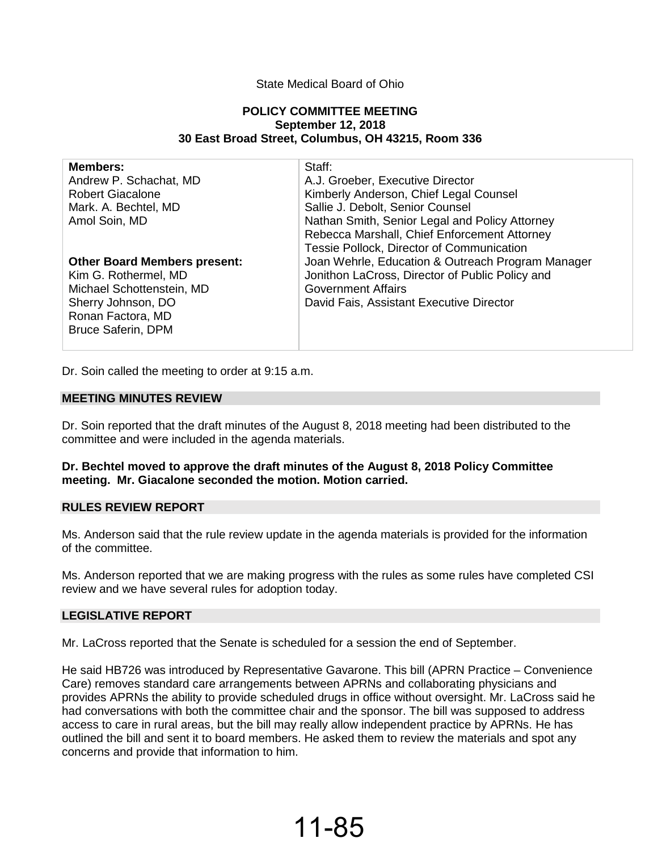#### State Medical Board of Ohio

#### **POLICY COMMITTEE MEETING September 12, 2018 30 East Broad Street, Columbus, OH 43215, Room 336**

| <b>Members:</b><br>Andrew P. Schachat, MD<br><b>Robert Giacalone</b><br>Mark. A. Bechtel, MD<br>Amol Soin, MD                                                    | Staff:<br>A.J. Groeber, Executive Director<br>Kimberly Anderson, Chief Legal Counsel<br>Sallie J. Debolt, Senior Counsel<br>Nathan Smith, Senior Legal and Policy Attorney<br>Rebecca Marshall, Chief Enforcement Attorney<br>Tessie Pollock, Director of Communication |
|------------------------------------------------------------------------------------------------------------------------------------------------------------------|-------------------------------------------------------------------------------------------------------------------------------------------------------------------------------------------------------------------------------------------------------------------------|
| <b>Other Board Members present:</b><br>Kim G. Rothermel, MD<br>Michael Schottenstein, MD<br>Sherry Johnson, DO<br>Ronan Factora, MD<br><b>Bruce Saferin, DPM</b> | Joan Wehrle, Education & Outreach Program Manager<br>Jonithon LaCross, Director of Public Policy and<br><b>Government Affairs</b><br>David Fais, Assistant Executive Director                                                                                           |

Dr. Soin called the meeting to order at 9:15 a.m.

#### **MEETING MINUTES REVIEW**

Dr. Soin reported that the draft minutes of the August 8, 2018 meeting had been distributed to the committee and were included in the agenda materials.

#### **Dr. Bechtel moved to approve the draft minutes of the August 8, 2018 Policy Committee meeting. Mr. Giacalone seconded the motion. Motion carried.**

#### **RULES REVIEW REPORT**

Ms. Anderson said that the rule review update in the agenda materials is provided for the information of the committee.

Ms. Anderson reported that we are making progress with the rules as some rules have completed CSI review and we have several rules for adoption today.

#### **LEGISLATIVE REPORT**

Mr. LaCross reported that the Senate is scheduled for a session the end of September.

He said HB726 was introduced by Representative Gavarone. This bill (APRN Practice – Convenience Care) removes standard care arrangements between APRNs and collaborating physicians and provides APRNs the ability to provide scheduled drugs in office without oversight. Mr. LaCross said he had conversations with both the committee chair and the sponsor. The bill was supposed to address access to care in rural areas, but the bill may really allow independent practice by APRNs. He has outlined the bill and sent it to board members. He asked them to review the materials and spot any concerns and provide that information to him.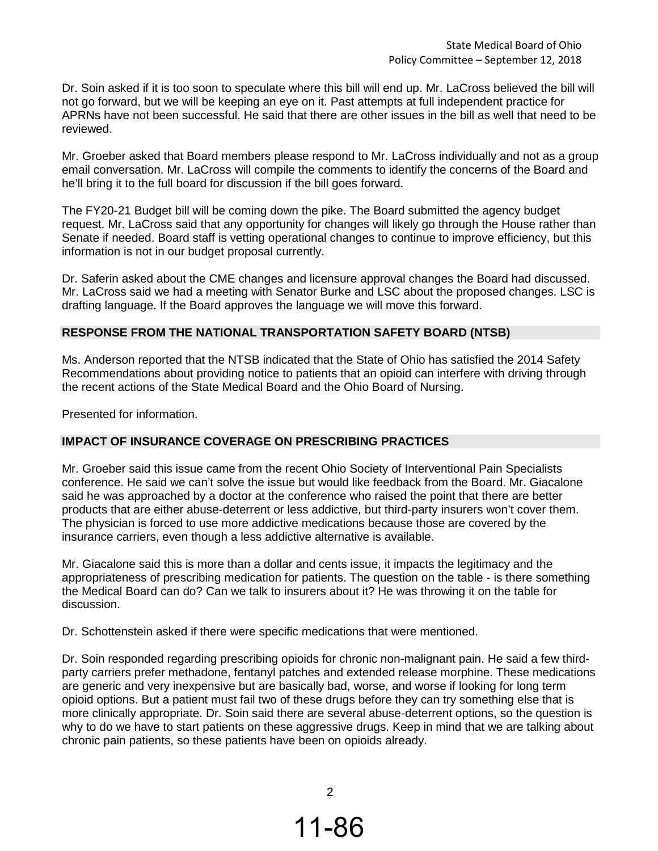Dr. Soin asked if it is too soon to speculate where this bill will end up. Mr. LaCross believed the bill will not go forward, but we will be keeping an eye on it. Past attempts at full independent practice for APRNs have not been successful. He said that there are other issues in the bill as well that need to be reviewed.

Mr. Groeber asked that Board members please respond to Mr. LaCross individually and not as a group email conversation. Mr. LaCross will compile the comments to identify the concerns of the Board and he'll bring it to the full board for discussion if the bill goes forward.

The FY20-21 Budget bill will be coming down the pike. The Board submitted the agency budget request. Mr. LaCross said that any opportunity for changes will likely go through the House rather than Senate if needed. Board staff is vetting operational changes to continue to improve efficiency, but this information is not in our budget proposal currently.

Dr. Saferin asked about the CME changes and licensure approval changes the Board had discussed. Mr. LaCross said we had a meeting with Senator Burke and LSC about the proposed changes. LSC is drafting language. If the Board approves the language we will move this forward.

## **RESPONSE FROM THE NATIONAL TRANSPORTATION SAFETY BOARD (NTSB)**

Ms. Anderson reported that the NTSB indicated that the State of Ohio has satisfied the 2014 Safety Recommendations about providing notice to patients that an opioid can interfere with driving through the recent actions of the State Medical Board and the Ohio Board of Nursing.

Presented for information.

#### **IMPACT OF INSURANCE COVERAGE ON PRESCRIBING PRACTICES**

Mr. Groeber said this issue came from the recent Ohio Society of Interventional Pain Specialists conference. He said we can't solve the issue but would like feedback from the Board. Mr. Giacalone said he was approached by a doctor at the conference who raised the point that there are better products that are either abuse-deterrent or less addictive, but third-party insurers won't cover them. The physician is forced to use more addictive medications because those are covered by the insurance carriers, even though a less addictive alternative is available.

Mr. Giacalone said this is more than a dollar and cents issue, it impacts the legitimacy and the appropriateness of prescribing medication for patients. The question on the table - is there something the Medical Board can do? Can we talk to insurers about it? He was throwing it on the table for discussion.

Dr. Schottenstein asked if there were specific medications that were mentioned.

Dr. Soin responded regarding prescribing opioids for chronic non-malignant pain. He said a few thirdparty carriers prefer methadone, fentanyl patches and extended release morphine. These medications are generic and very inexpensive but are basically bad, worse, and worse if looking for long term opioid options. But a patient must fail two of these drugs before they can try something else that is more clinically appropriate. Dr. Soin said there are several abuse-deterrent options, so the question is why to do we have to start patients on these aggressive drugs. Keep in mind that we are talking about chronic pain patients, so these patients have been on opioids already.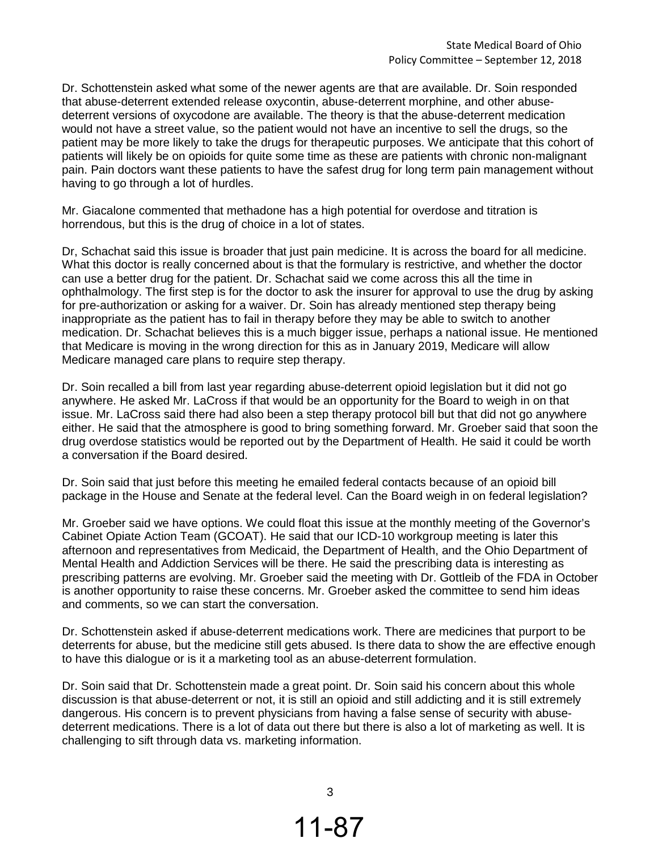Dr. Schottenstein asked what some of the newer agents are that are available. Dr. Soin responded that abuse-deterrent extended release oxycontin, abuse-deterrent morphine, and other abusedeterrent versions of oxycodone are available. The theory is that the abuse-deterrent medication would not have a street value, so the patient would not have an incentive to sell the drugs, so the patient may be more likely to take the drugs for therapeutic purposes. We anticipate that this cohort of patients will likely be on opioids for quite some time as these are patients with chronic non-malignant pain. Pain doctors want these patients to have the safest drug for long term pain management without having to go through a lot of hurdles.

Mr. Giacalone commented that methadone has a high potential for overdose and titration is horrendous, but this is the drug of choice in a lot of states.

Dr, Schachat said this issue is broader that just pain medicine. It is across the board for all medicine. What this doctor is really concerned about is that the formulary is restrictive, and whether the doctor can use a better drug for the patient. Dr. Schachat said we come across this all the time in ophthalmology. The first step is for the doctor to ask the insurer for approval to use the drug by asking for pre-authorization or asking for a waiver. Dr. Soin has already mentioned step therapy being inappropriate as the patient has to fail in therapy before they may be able to switch to another medication. Dr. Schachat believes this is a much bigger issue, perhaps a national issue. He mentioned that Medicare is moving in the wrong direction for this as in January 2019, Medicare will allow Medicare managed care plans to require step therapy.

Dr. Soin recalled a bill from last year regarding abuse-deterrent opioid legislation but it did not go anywhere. He asked Mr. LaCross if that would be an opportunity for the Board to weigh in on that issue. Mr. LaCross said there had also been a step therapy protocol bill but that did not go anywhere either. He said that the atmosphere is good to bring something forward. Mr. Groeber said that soon the drug overdose statistics would be reported out by the Department of Health. He said it could be worth a conversation if the Board desired.

Dr. Soin said that just before this meeting he emailed federal contacts because of an opioid bill package in the House and Senate at the federal level. Can the Board weigh in on federal legislation?

Mr. Groeber said we have options. We could float this issue at the monthly meeting of the Governor's Cabinet Opiate Action Team (GCOAT). He said that our ICD-10 workgroup meeting is later this afternoon and representatives from Medicaid, the Department of Health, and the Ohio Department of Mental Health and Addiction Services will be there. He said the prescribing data is interesting as prescribing patterns are evolving. Mr. Groeber said the meeting with Dr. Gottleib of the FDA in October is another opportunity to raise these concerns. Mr. Groeber asked the committee to send him ideas and comments, so we can start the conversation.

Dr. Schottenstein asked if abuse-deterrent medications work. There are medicines that purport to be deterrents for abuse, but the medicine still gets abused. Is there data to show the are effective enough to have this dialogue or is it a marketing tool as an abuse-deterrent formulation.

Dr. Soin said that Dr. Schottenstein made a great point. Dr. Soin said his concern about this whole discussion is that abuse-deterrent or not, it is still an opioid and still addicting and it is still extremely dangerous. His concern is to prevent physicians from having a false sense of security with abusedeterrent medications. There is a lot of data out there but there is also a lot of marketing as well. It is challenging to sift through data vs. marketing information.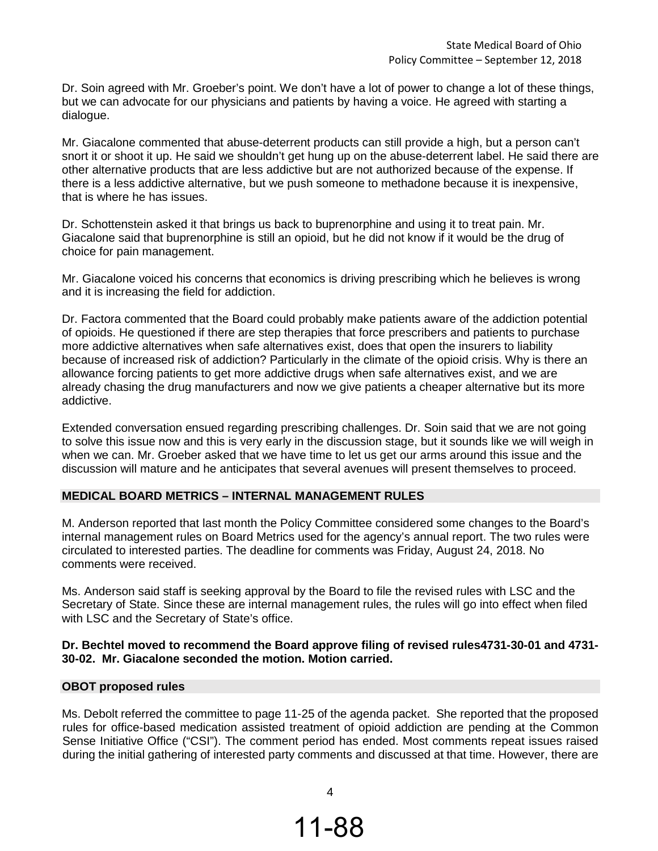Dr. Soin agreed with Mr. Groeber's point. We don't have a lot of power to change a lot of these things, but we can advocate for our physicians and patients by having a voice. He agreed with starting a dialogue.

Mr. Giacalone commented that abuse-deterrent products can still provide a high, but a person can't snort it or shoot it up. He said we shouldn't get hung up on the abuse-deterrent label. He said there are other alternative products that are less addictive but are not authorized because of the expense. If there is a less addictive alternative, but we push someone to methadone because it is inexpensive, that is where he has issues.

Dr. Schottenstein asked it that brings us back to buprenorphine and using it to treat pain. Mr. Giacalone said that buprenorphine is still an opioid, but he did not know if it would be the drug of choice for pain management.

Mr. Giacalone voiced his concerns that economics is driving prescribing which he believes is wrong and it is increasing the field for addiction.

Dr. Factora commented that the Board could probably make patients aware of the addiction potential of opioids. He questioned if there are step therapies that force prescribers and patients to purchase more addictive alternatives when safe alternatives exist, does that open the insurers to liability because of increased risk of addiction? Particularly in the climate of the opioid crisis. Why is there an allowance forcing patients to get more addictive drugs when safe alternatives exist, and we are already chasing the drug manufacturers and now we give patients a cheaper alternative but its more addictive.

Extended conversation ensued regarding prescribing challenges. Dr. Soin said that we are not going to solve this issue now and this is very early in the discussion stage, but it sounds like we will weigh in when we can. Mr. Groeber asked that we have time to let us get our arms around this issue and the discussion will mature and he anticipates that several avenues will present themselves to proceed.

#### **MEDICAL BOARD METRICS – INTERNAL MANAGEMENT RULES**

M. Anderson reported that last month the Policy Committee considered some changes to the Board's internal management rules on Board Metrics used for the agency's annual report. The two rules were circulated to interested parties. The deadline for comments was Friday, August 24, 2018. No comments were received.

Ms. Anderson said staff is seeking approval by the Board to file the revised rules with LSC and the Secretary of State. Since these are internal management rules, the rules will go into effect when filed with LSC and the Secretary of State's office.

## **Dr. Bechtel moved to recommend the Board approve filing of revised rules4731-30-01 and 4731- 30-02. Mr. Giacalone seconded the motion. Motion carried.**

#### **OBOT proposed rules**

Ms. Debolt referred the committee to page 11-25 of the agenda packet. She reported that the proposed rules for office-based medication assisted treatment of opioid addiction are pending at the Common Sense Initiative Office ("CSI"). The comment period has ended. Most comments repeat issues raised during the initial gathering of interested party comments and discussed at that time. However, there are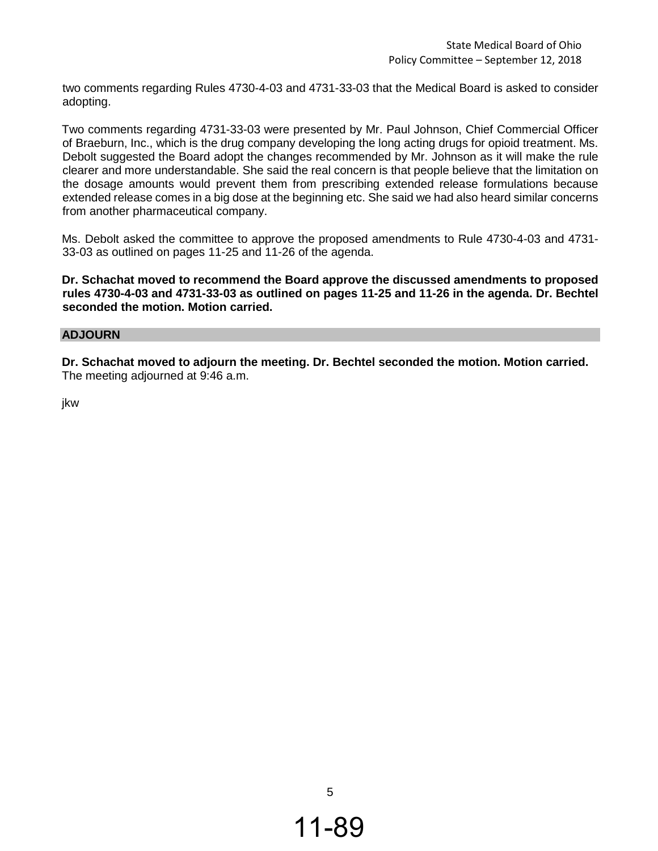two comments regarding Rules 4730-4-03 and 4731-33-03 that the Medical Board is asked to consider adopting.

Two comments regarding 4731-33-03 were presented by Mr. Paul Johnson, Chief Commercial Officer of Braeburn, Inc., which is the drug company developing the long acting drugs for opioid treatment. Ms. Debolt suggested the Board adopt the changes recommended by Mr. Johnson as it will make the rule clearer and more understandable. She said the real concern is that people believe that the limitation on the dosage amounts would prevent them from prescribing extended release formulations because extended release comes in a big dose at the beginning etc. She said we had also heard similar concerns from another pharmaceutical company.

Ms. Debolt asked the committee to approve the proposed amendments to Rule 4730-4-03 and 4731- 33-03 as outlined on pages 11-25 and 11-26 of the agenda.

**Dr. Schachat moved to recommend the Board approve the discussed amendments to proposed rules 4730-4-03 and 4731-33-03 as outlined on pages 11-25 and 11-26 in the agenda. Dr. Bechtel seconded the motion. Motion carried.** 

#### **ADJOURN**

**Dr. Schachat moved to adjourn the meeting. Dr. Bechtel seconded the motion. Motion carried.** The meeting adjourned at 9:46 a.m.

jkw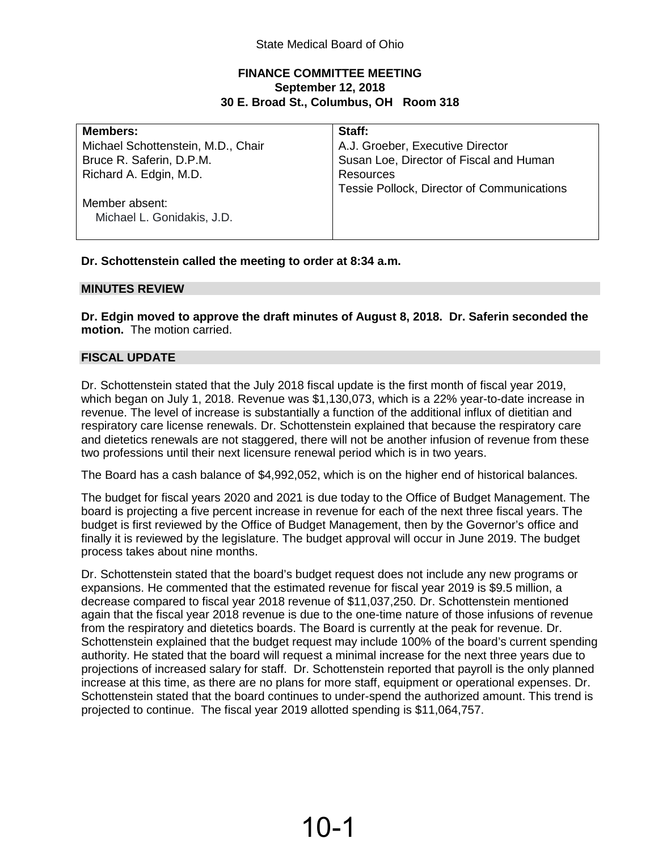# **FINANCE COMMITTEE MEETING September 12, 2018 30 E. Broad St., Columbus, OH Room 318**

| <b>Members:</b>                    | Staff:                                     |
|------------------------------------|--------------------------------------------|
| Michael Schottenstein, M.D., Chair | A.J. Groeber, Executive Director           |
| Bruce R. Saferin, D.P.M.           | Susan Loe, Director of Fiscal and Human    |
| Richard A. Edgin, M.D.             | Resources                                  |
|                                    | Tessie Pollock, Director of Communications |
| Member absent:                     |                                            |
| Michael L. Gonidakis, J.D.         |                                            |
|                                    |                                            |

**Dr. Schottenstein called the meeting to order at 8:34 a.m.** 

## **MINUTES REVIEW**

**Dr. Edgin moved to approve the draft minutes of August 8, 2018. Dr. Saferin seconded the motion.** The motion carried.

# **FISCAL UPDATE**

Dr. Schottenstein stated that the July 2018 fiscal update is the first month of fiscal year 2019, which began on July 1, 2018. Revenue was \$1,130,073, which is a 22% year-to-date increase in revenue. The level of increase is substantially a function of the additional influx of dietitian and respiratory care license renewals. Dr. Schottenstein explained that because the respiratory care and dietetics renewals are not staggered, there will not be another infusion of revenue from these two professions until their next licensure renewal period which is in two years.

The Board has a cash balance of \$4,992,052, which is on the higher end of historical balances.

The budget for fiscal years 2020 and 2021 is due today to the Office of Budget Management. The board is projecting a five percent increase in revenue for each of the next three fiscal years. The budget is first reviewed by the Office of Budget Management, then by the Governor's office and finally it is reviewed by the legislature. The budget approval will occur in June 2019. The budget process takes about nine months.

Dr. Schottenstein stated that the board's budget request does not include any new programs or expansions. He commented that the estimated revenue for fiscal year 2019 is \$9.5 million, a decrease compared to fiscal year 2018 revenue of \$11,037,250. Dr. Schottenstein mentioned again that the fiscal year 2018 revenue is due to the one-time nature of those infusions of revenue from the respiratory and dietetics boards. The Board is currently at the peak for revenue. Dr. Schottenstein explained that the budget request may include 100% of the board's current spending authority. He stated that the board will request a minimal increase for the next three years due to projections of increased salary for staff. Dr. Schottenstein reported that payroll is the only planned increase at this time, as there are no plans for more staff, equipment or operational expenses. Dr. Schottenstein stated that the board continues to under-spend the authorized amount. This trend is projected to continue. The fiscal year 2019 allotted spending is \$11,064,757.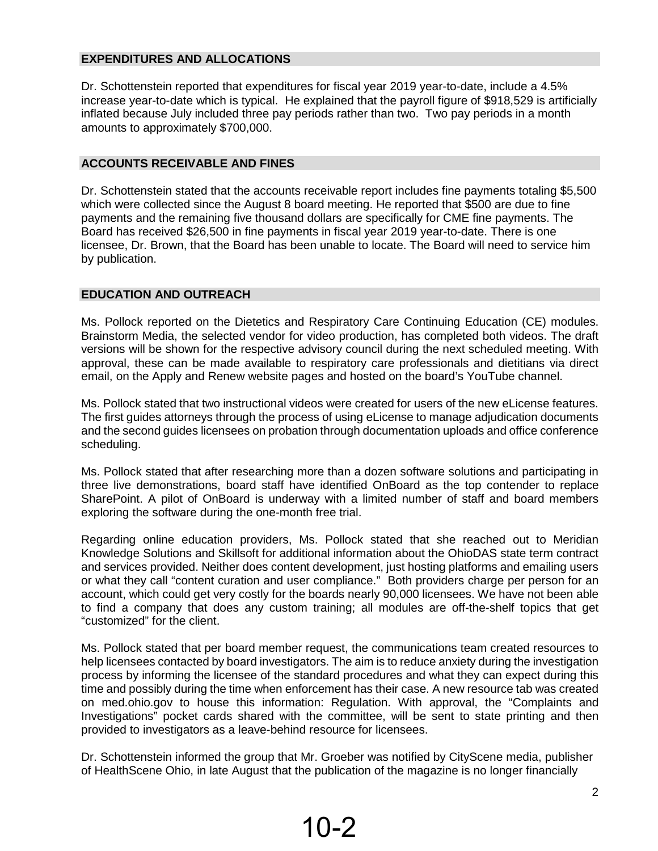# **EXPENDITURES AND ALLOCATIONS**

Dr. Schottenstein reported that expenditures for fiscal year 2019 year-to-date, include a 4.5% increase year-to-date which is typical. He explained that the payroll figure of \$918,529 is artificially inflated because July included three pay periods rather than two. Two pay periods in a month amounts to approximately \$700,000.

#### **ACCOUNTS RECEIVABLE AND FINES**

Dr. Schottenstein stated that the accounts receivable report includes fine payments totaling \$5,500 which were collected since the August 8 board meeting. He reported that \$500 are due to fine payments and the remaining five thousand dollars are specifically for CME fine payments. The Board has received \$26,500 in fine payments in fiscal year 2019 year-to-date. There is one licensee, Dr. Brown, that the Board has been unable to locate. The Board will need to service him by publication.

# **EDUCATION AND OUTREACH**

Ms. Pollock reported on the Dietetics and Respiratory Care Continuing Education (CE) modules. Brainstorm Media, the selected vendor for video production, has completed both videos. The draft versions will be shown for the respective advisory council during the next scheduled meeting. With approval, these can be made available to respiratory care professionals and dietitians via direct email, on the Apply and Renew website pages and hosted on the board's YouTube channel.

Ms. Pollock stated that two instructional videos were created for users of the new eLicense features. The first guides attorneys through the process of using eLicense to manage adjudication documents and the second guides licensees on probation through documentation uploads and office conference scheduling.

Ms. Pollock stated that after researching more than a dozen software solutions and participating in three live demonstrations, board staff have identified OnBoard as the top contender to replace SharePoint. A pilot of OnBoard is underway with a limited number of staff and board members exploring the software during the one-month free trial.

Regarding online education providers, Ms. Pollock stated that she reached out to Meridian Knowledge Solutions and Skillsoft for additional information about the OhioDAS state term contract and services provided. Neither does content development, just hosting platforms and emailing users or what they call "content curation and user compliance." Both providers charge per person for an account, which could get very costly for the boards nearly 90,000 licensees. We have not been able to find a company that does any custom training; all modules are off-the-shelf topics that get "customized" for the client.

Ms. Pollock stated that per board member request, the communications team created resources to help licensees contacted by board investigators. The aim is to reduce anxiety during the investigation process by informing the licensee of the standard procedures and what they can expect during this time and possibly during the time when enforcement has their case. A new resource tab was created on med.ohio.gov to house this information: Regulation. With approval, the "Complaints and Investigations" pocket cards shared with the committee, will be sent to state printing and then provided to investigators as a leave-behind resource for licensees.

Dr. Schottenstein informed the group that Mr. Groeber was notified by CityScene media, publisher of HealthScene Ohio, in late August that the publication of the magazine is no longer financially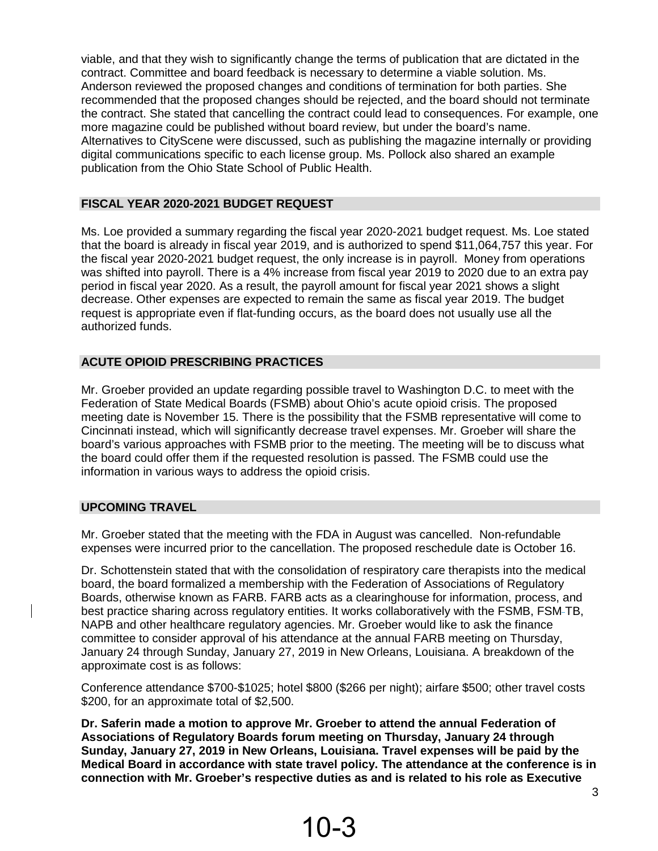viable, and that they wish to significantly change the terms of publication that are dictated in the contract. Committee and board feedback is necessary to determine a viable solution. Ms. Anderson reviewed the proposed changes and conditions of termination for both parties. She recommended that the proposed changes should be rejected, and the board should not terminate the contract. She stated that cancelling the contract could lead to consequences. For example, one more magazine could be published without board review, but under the board's name. Alternatives to CityScene were discussed, such as publishing the magazine internally or providing digital communications specific to each license group. Ms. Pollock also shared an example publication from the Ohio State School of Public Health.

## **FISCAL YEAR 2020-2021 BUDGET REQUEST**

Ms. Loe provided a summary regarding the fiscal year 2020-2021 budget request. Ms. Loe stated that the board is already in fiscal year 2019, and is authorized to spend \$11,064,757 this year. For the fiscal year 2020-2021 budget request, the only increase is in payroll. Money from operations was shifted into payroll. There is a 4% increase from fiscal year 2019 to 2020 due to an extra pay period in fiscal year 2020. As a result, the payroll amount for fiscal year 2021 shows a slight decrease. Other expenses are expected to remain the same as fiscal year 2019. The budget request is appropriate even if flat-funding occurs, as the board does not usually use all the authorized funds.

## **ACUTE OPIOID PRESCRIBING PRACTICES**

Mr. Groeber provided an update regarding possible travel to Washington D.C. to meet with the Federation of State Medical Boards (FSMB) about Ohio's acute opioid crisis. The proposed meeting date is November 15. There is the possibility that the FSMB representative will come to Cincinnati instead, which will significantly decrease travel expenses. Mr. Groeber will share the board's various approaches with FSMB prior to the meeting. The meeting will be to discuss what the board could offer them if the requested resolution is passed. The FSMB could use the information in various ways to address the opioid crisis.

#### **UPCOMING TRAVEL**

Mr. Groeber stated that the meeting with the FDA in August was cancelled. Non-refundable expenses were incurred prior to the cancellation. The proposed reschedule date is October 16.

Dr. Schottenstein stated that with the consolidation of respiratory care therapists into the medical board, the board formalized a membership with the Federation of Associations of Regulatory Boards, otherwise known as FARB. FARB acts as a clearinghouse for information, process, and best practice sharing across regulatory entities. It works collaboratively with the FSMB, FSM-TB, NAPB and other healthcare regulatory agencies. Mr. Groeber would like to ask the finance committee to consider approval of his attendance at the annual FARB meeting on Thursday, January 24 through Sunday, January 27, 2019 in New Orleans, Louisiana. A breakdown of the approximate cost is as follows:

Conference attendance \$700-\$1025; hotel \$800 (\$266 per night); airfare \$500; other travel costs \$200, for an approximate total of \$2,500.

**Dr. Saferin made a motion to approve Mr. Groeber to attend the annual Federation of Associations of Regulatory Boards forum meeting on Thursday, January 24 through Sunday, January 27, 2019 in New Orleans, Louisiana. Travel expenses will be paid by the Medical Board in accordance with state travel policy. The attendance at the conference is in connection with Mr. Groeber's respective duties as and is related to his role as Executive**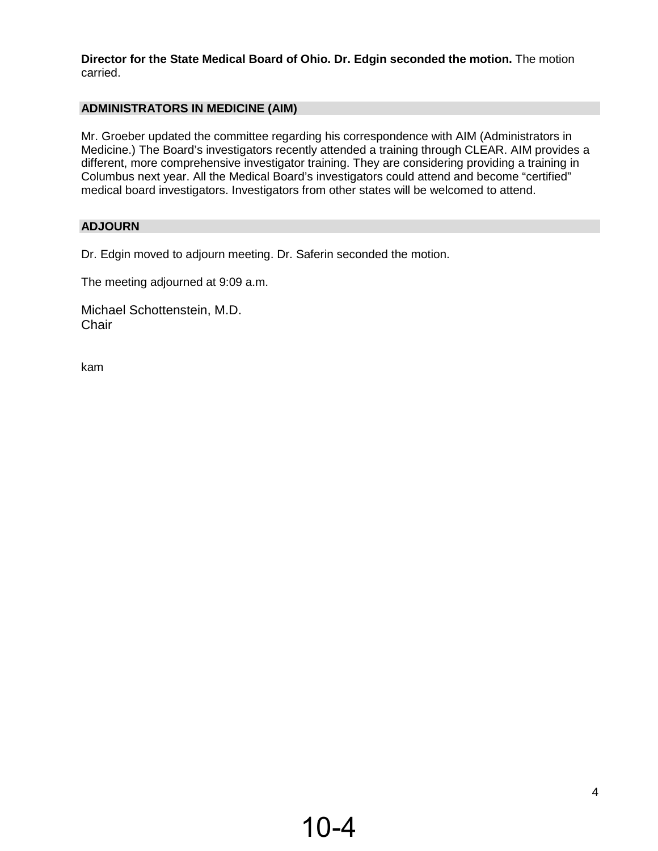**Director for the State Medical Board of Ohio. Dr. Edgin seconded the motion.** The motion carried.

# **ADMINISTRATORS IN MEDICINE (AIM)**

Mr. Groeber updated the committee regarding his correspondence with AIM (Administrators in Medicine.) The Board's investigators recently attended a training through CLEAR. AIM provides a different, more comprehensive investigator training. They are considering providing a training in Columbus next year. All the Medical Board's investigators could attend and become "certified" medical board investigators. Investigators from other states will be welcomed to attend.

# **ADJOURN**

Dr. Edgin moved to adjourn meeting. Dr. Saferin seconded the motion.

The meeting adjourned at 9:09 a.m.

Michael Schottenstein, M.D. **Chair** 

kam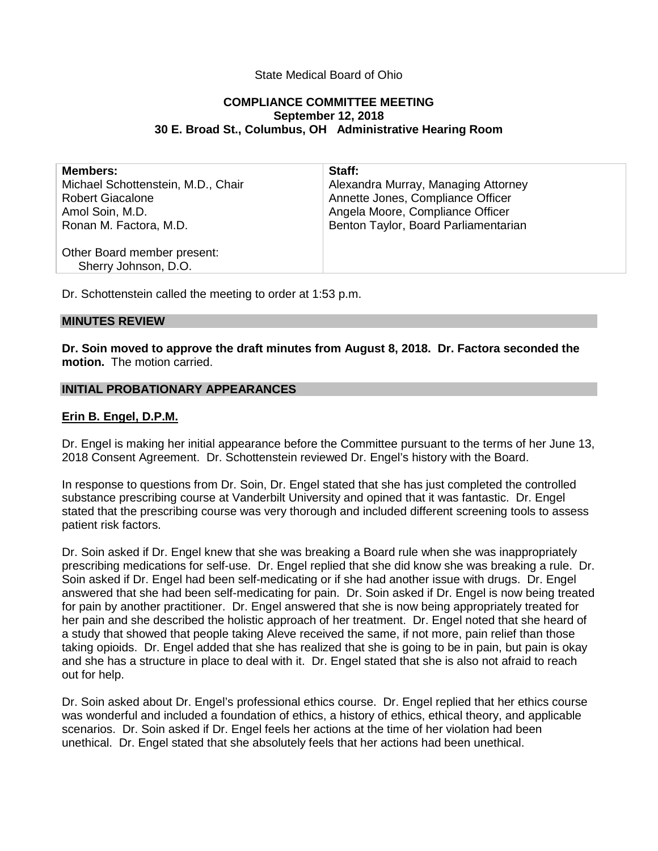## State Medical Board of Ohio

#### **COMPLIANCE COMMITTEE MEETING September 12, 2018 30 E. Broad St., Columbus, OH Administrative Hearing Room**

| <b>Members:</b>                                     | Staff:                               |
|-----------------------------------------------------|--------------------------------------|
| Michael Schottenstein, M.D., Chair                  | Alexandra Murray, Managing Attorney  |
| <b>Robert Giacalone</b>                             | Annette Jones, Compliance Officer    |
| Amol Soin, M.D.                                     | Angela Moore, Compliance Officer     |
| Ronan M. Factora, M.D.                              | Benton Taylor, Board Parliamentarian |
| Other Board member present:<br>Sherry Johnson, D.O. |                                      |
|                                                     |                                      |

Dr. Schottenstein called the meeting to order at 1:53 p.m.

#### **MINUTES REVIEW**

**Dr. Soin moved to approve the draft minutes from August 8, 2018. Dr. Factora seconded the motion.** The motion carried.

#### **INITIAL PROBATIONARY APPEARANCES**

#### **Erin B. Engel, D.P.M.**

Dr. Engel is making her initial appearance before the Committee pursuant to the terms of her June 13, 2018 Consent Agreement. Dr. Schottenstein reviewed Dr. Engel's history with the Board.

In response to questions from Dr. Soin, Dr. Engel stated that she has just completed the controlled substance prescribing course at Vanderbilt University and opined that it was fantastic. Dr. Engel stated that the prescribing course was very thorough and included different screening tools to assess patient risk factors.

Dr. Soin asked if Dr. Engel knew that she was breaking a Board rule when she was inappropriately prescribing medications for self-use. Dr. Engel replied that she did know she was breaking a rule. Dr. Soin asked if Dr. Engel had been self-medicating or if she had another issue with drugs. Dr. Engel answered that she had been self-medicating for pain. Dr. Soin asked if Dr. Engel is now being treated for pain by another practitioner. Dr. Engel answered that she is now being appropriately treated for her pain and she described the holistic approach of her treatment. Dr. Engel noted that she heard of a study that showed that people taking Aleve received the same, if not more, pain relief than those taking opioids. Dr. Engel added that she has realized that she is going to be in pain, but pain is okay and she has a structure in place to deal with it. Dr. Engel stated that she is also not afraid to reach out for help.

Dr. Soin asked about Dr. Engel's professional ethics course. Dr. Engel replied that her ethics course was wonderful and included a foundation of ethics, a history of ethics, ethical theory, and applicable scenarios. Dr. Soin asked if Dr. Engel feels her actions at the time of her violation had been unethical. Dr. Engel stated that she absolutely feels that her actions had been unethical.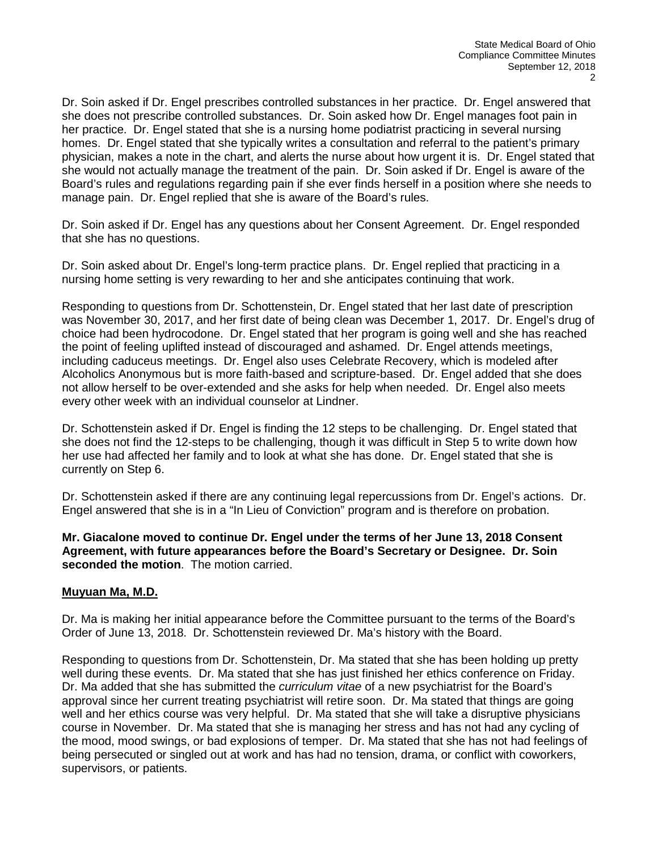Dr. Soin asked if Dr. Engel prescribes controlled substances in her practice. Dr. Engel answered that she does not prescribe controlled substances. Dr. Soin asked how Dr. Engel manages foot pain in her practice. Dr. Engel stated that she is a nursing home podiatrist practicing in several nursing homes. Dr. Engel stated that she typically writes a consultation and referral to the patient's primary physician, makes a note in the chart, and alerts the nurse about how urgent it is. Dr. Engel stated that she would not actually manage the treatment of the pain. Dr. Soin asked if Dr. Engel is aware of the Board's rules and regulations regarding pain if she ever finds herself in a position where she needs to manage pain. Dr. Engel replied that she is aware of the Board's rules.

Dr. Soin asked if Dr. Engel has any questions about her Consent Agreement. Dr. Engel responded that she has no questions.

Dr. Soin asked about Dr. Engel's long-term practice plans. Dr. Engel replied that practicing in a nursing home setting is very rewarding to her and she anticipates continuing that work.

Responding to questions from Dr. Schottenstein, Dr. Engel stated that her last date of prescription was November 30, 2017, and her first date of being clean was December 1, 2017. Dr. Engel's drug of choice had been hydrocodone. Dr. Engel stated that her program is going well and she has reached the point of feeling uplifted instead of discouraged and ashamed. Dr. Engel attends meetings, including caduceus meetings. Dr. Engel also uses Celebrate Recovery, which is modeled after Alcoholics Anonymous but is more faith-based and scripture-based. Dr. Engel added that she does not allow herself to be over-extended and she asks for help when needed. Dr. Engel also meets every other week with an individual counselor at Lindner.

Dr. Schottenstein asked if Dr. Engel is finding the 12 steps to be challenging. Dr. Engel stated that she does not find the 12-steps to be challenging, though it was difficult in Step 5 to write down how her use had affected her family and to look at what she has done. Dr. Engel stated that she is currently on Step 6.

Dr. Schottenstein asked if there are any continuing legal repercussions from Dr. Engel's actions. Dr. Engel answered that she is in a "In Lieu of Conviction" program and is therefore on probation.

**Mr. Giacalone moved to continue Dr. Engel under the terms of her June 13, 2018 Consent Agreement, with future appearances before the Board's Secretary or Designee. Dr. Soin seconded the motion**. The motion carried.

# **Muyuan Ma, M.D.**

Dr. Ma is making her initial appearance before the Committee pursuant to the terms of the Board's Order of June 13, 2018. Dr. Schottenstein reviewed Dr. Ma's history with the Board.

Responding to questions from Dr. Schottenstein, Dr. Ma stated that she has been holding up pretty well during these events. Dr. Ma stated that she has just finished her ethics conference on Friday. Dr. Ma added that she has submitted the *curriculum vitae* of a new psychiatrist for the Board's approval since her current treating psychiatrist will retire soon. Dr. Ma stated that things are going well and her ethics course was very helpful. Dr. Ma stated that she will take a disruptive physicians course in November. Dr. Ma stated that she is managing her stress and has not had any cycling of the mood, mood swings, or bad explosions of temper. Dr. Ma stated that she has not had feelings of being persecuted or singled out at work and has had no tension, drama, or conflict with coworkers, supervisors, or patients.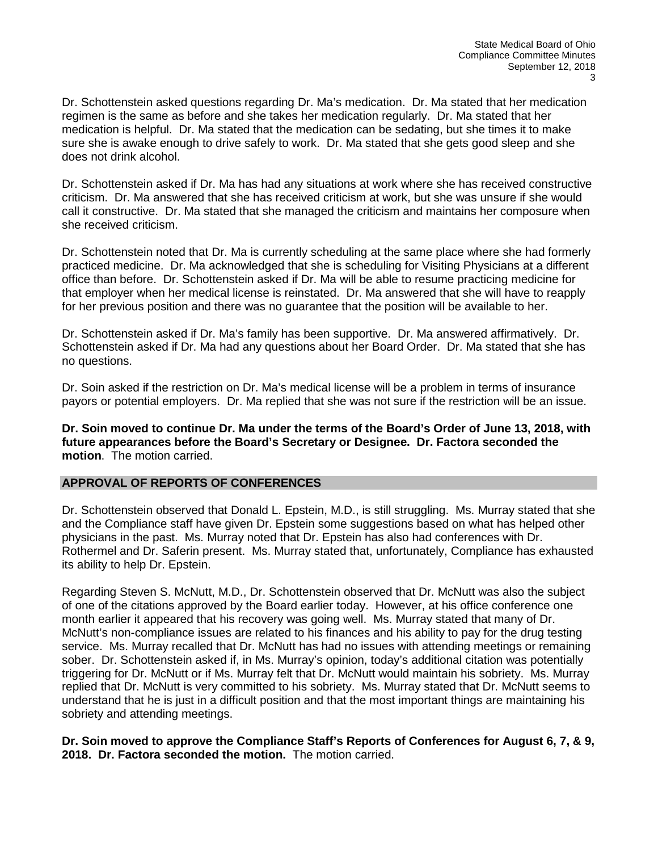Dr. Schottenstein asked questions regarding Dr. Ma's medication. Dr. Ma stated that her medication regimen is the same as before and she takes her medication regularly. Dr. Ma stated that her medication is helpful. Dr. Ma stated that the medication can be sedating, but she times it to make sure she is awake enough to drive safely to work. Dr. Ma stated that she gets good sleep and she does not drink alcohol.

Dr. Schottenstein asked if Dr. Ma has had any situations at work where she has received constructive criticism. Dr. Ma answered that she has received criticism at work, but she was unsure if she would call it constructive. Dr. Ma stated that she managed the criticism and maintains her composure when she received criticism.

Dr. Schottenstein noted that Dr. Ma is currently scheduling at the same place where she had formerly practiced medicine. Dr. Ma acknowledged that she is scheduling for Visiting Physicians at a different office than before. Dr. Schottenstein asked if Dr. Ma will be able to resume practicing medicine for that employer when her medical license is reinstated. Dr. Ma answered that she will have to reapply for her previous position and there was no guarantee that the position will be available to her.

Dr. Schottenstein asked if Dr. Ma's family has been supportive. Dr. Ma answered affirmatively. Dr. Schottenstein asked if Dr. Ma had any questions about her Board Order. Dr. Ma stated that she has no questions.

Dr. Soin asked if the restriction on Dr. Ma's medical license will be a problem in terms of insurance payors or potential employers. Dr. Ma replied that she was not sure if the restriction will be an issue.

**Dr. Soin moved to continue Dr. Ma under the terms of the Board's Order of June 13, 2018, with future appearances before the Board's Secretary or Designee. Dr. Factora seconded the motion**. The motion carried.

#### **APPROVAL OF REPORTS OF CONFERENCES**

Dr. Schottenstein observed that Donald L. Epstein, M.D., is still struggling. Ms. Murray stated that she and the Compliance staff have given Dr. Epstein some suggestions based on what has helped other physicians in the past. Ms. Murray noted that Dr. Epstein has also had conferences with Dr. Rothermel and Dr. Saferin present. Ms. Murray stated that, unfortunately, Compliance has exhausted its ability to help Dr. Epstein.

Regarding Steven S. McNutt, M.D., Dr. Schottenstein observed that Dr. McNutt was also the subject of one of the citations approved by the Board earlier today. However, at his office conference one month earlier it appeared that his recovery was going well. Ms. Murray stated that many of Dr. McNutt's non-compliance issues are related to his finances and his ability to pay for the drug testing service. Ms. Murray recalled that Dr. McNutt has had no issues with attending meetings or remaining sober. Dr. Schottenstein asked if, in Ms. Murray's opinion, today's additional citation was potentially triggering for Dr. McNutt or if Ms. Murray felt that Dr. McNutt would maintain his sobriety. Ms. Murray replied that Dr. McNutt is very committed to his sobriety. Ms. Murray stated that Dr. McNutt seems to understand that he is just in a difficult position and that the most important things are maintaining his sobriety and attending meetings.

**Dr. Soin moved to approve the Compliance Staff's Reports of Conferences for August 6, 7, & 9, 2018. Dr. Factora seconded the motion.** The motion carried.